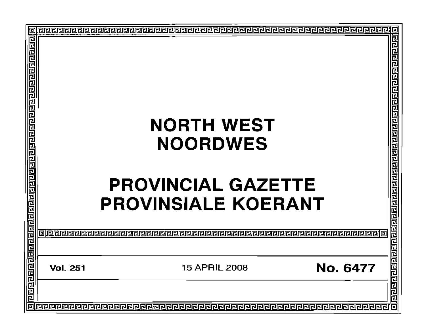| ∣¤                                                                                                                   |                                                            | ø                      |
|----------------------------------------------------------------------------------------------------------------------|------------------------------------------------------------|------------------------|
| Ē                                                                                                                    |                                                            |                        |
|                                                                                                                      |                                                            |                        |
|                                                                                                                      |                                                            |                        |
|                                                                                                                      |                                                            |                        |
|                                                                                                                      |                                                            |                        |
|                                                                                                                      |                                                            |                        |
|                                                                                                                      |                                                            |                        |
|                                                                                                                      |                                                            |                        |
|                                                                                                                      | <b>NORTH WEST</b>                                          |                        |
|                                                                                                                      |                                                            |                        |
|                                                                                                                      | <b>NOORDWES</b>                                            |                        |
|                                                                                                                      |                                                            |                        |
|                                                                                                                      |                                                            |                        |
|                                                                                                                      |                                                            |                        |
|                                                                                                                      | <b>PROVINCIAL GAZETTE</b>                                  |                        |
|                                                                                                                      |                                                            |                        |
|                                                                                                                      | <b>PROVINSIALE KOERANT</b>                                 |                        |
|                                                                                                                      |                                                            |                        |
|                                                                                                                      |                                                            |                        |
|                                                                                                                      |                                                            |                        |
|                                                                                                                      |                                                            |                        |
|                                                                                                                      |                                                            |                        |
|                                                                                                                      | <b>No. 6477</b><br><b>15 APRIL 2008</b><br><b>Vol. 251</b> |                        |
|                                                                                                                      |                                                            |                        |
| <u>ज्ञिद्यस्यस्य मे सर्वे सर्वे सर्वे स्व स्थानस्य स्थानस्य स्थानस्य स्थानस्य सर्वे स्वत्यस्य स्थानस्य स्थानस्य </u> |                                                            | <u>नगगगगगगगगगगगगगग</u> |
|                                                                                                                      |                                                            |                        |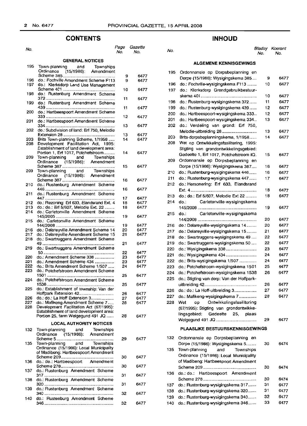140

## **CONTENTS**

| No.        |                                                                                    | Page<br>No. | Gazette<br>No. |
|------------|------------------------------------------------------------------------------------|-------------|----------------|
|            | <b>GENERAL NOTICES</b>                                                             |             |                |
| 195        | Town-planning<br>and<br>Townships<br>(15/1986): Amendment<br>Ordinance             |             |                |
|            |                                                                                    | 9           | 6477           |
| 196        | do.: Fochville Amendment Scheme F113                                               | 9           | 6477           |
| 197        | do.: Klerksdorp Land Use Management                                                | 10          | 6477           |
| 198        | do.: Rustenburg Amendment Scheme                                                   |             |                |
|            |                                                                                    | 11          | 6477           |
| 199        | do.: Rustenburg Amendment Scheme                                                   |             |                |
| 200        | do.: Hartbeespoort Amendment Scheme                                                | 11          | 6477           |
| 201        | do.: Hartbeespoort Amendment Scheme                                                | 12          | 6477           |
| 202        | do.: Subdivision of land: Erf 750, Melodie                                         | 13          | 6477           |
| 203        | Brits Town-planning Scheme, 1/1958                                                 | 13<br>14    | 6477<br>6477   |
| 208        | Development Facilitation Act, 1995:                                                |             |                |
|            | Establishment of land development area:                                            |             |                |
| 209        | Portion 1, Erf 1017, Potchefstroom<br>Town-planning<br>and<br>Townships            | 14          | 6477           |
|            | Ordinance (15/1986): Amendment                                                     |             |                |
|            |                                                                                    | 15          | 6477           |
| 209        | Town-planning and Townships                                                        |             |                |
|            | Ordinance (15/1986): Amendment                                                     |             |                |
| 210        | do.: Rustenburg Amendment Scheme                                                   | 16          | 6477           |
|            |                                                                                    | 16          | 6477           |
| 211        | do.: Rustenburg Amendment Scheme                                                   |             |                |
|            |                                                                                    | 17          | 6477           |
| 212        | do.: Rezoning: Erf 633, Elandsrand Ext. 4                                          | 18          | 6477           |
| 213<br>214 | do.: do.: Erf 5/607, Melodie Ext. 22                                               | 18          | 6477           |
|            | do.: Carletonville Amendment Scheme                                                | 19          | 6477           |
| 215        | do.: Carletonville Amendment Scheme                                                |             |                |
|            |                                                                                    | 19          | 6477           |
| 216        | do.: Delareyville Amendment Scheme 14                                              | 20          | 6477           |
| 217<br>218 | do.: Delareyville Amendment Scheme 15<br>do.: Swartruggens Amendment Scheme        | 21          | 6477           |
| 219        | do.: Swartruggens Amendment Scheme                                                 | 21          | 6477           |
|            |                                                                                    | 22          | 6477           |
| 220        | do.: Amendment Scheme 338                                                          | 23          | 6477           |
| 221        | do.: Amendment Scheme 434                                                          | 23          | 6477           |
| 222        | do.: Brits Amendment Scheme 1/507                                                  | 24          | 6477           |
| 223        | do.: Potchefstroom Amendment Scheme                                                | 25          | 6477           |
| 224        | do.: Potchefstroom Amendment Scheme                                                |             |                |
| 225        | do.: Establishment of township: Van der                                            | 25          | 6477           |
|            |                                                                                    | 26          | 6477           |
| 226        | do.: do.: La Hoff Extension 3                                                      | 27          | 6477           |
| 227        | do.: Mafikeng Amendment Scheme 7                                                   | 28          | 6477           |
| 228        | Development Facilitation Act (67/1995):<br>Establishment of land development area: |             |                |
|            | Portion 25, farm Welgegund 491 JQ                                                  | 28          | 6477           |
|            | <b>LOCAL AUTHORITY NOTICES</b>                                                     |             |                |
|            |                                                                                    |             |                |
| 132        | Town-planning<br>and<br>Townships<br>(15/1986): Amendment<br>Ordinance             |             |                |
|            |                                                                                    | 29          | 6477           |
| 135        | Town-planning and Townships                                                        |             |                |
|            | Ordinance (15/1986): Local Municipality                                            |             |                |
|            | of Madibeng: Hartbeespoort Amendment                                               |             |                |
| 136        | do.: do.: Hartbeespoort Amendment                                                  | 30          | 6477           |
|            |                                                                                    | 30          | 6477           |
| 137        | do.: Rustenburg Amendment Scheme                                                   |             |                |
|            |                                                                                    | 31          | 6477           |
| 138        | do.: Rustenburg Amendment Scheme                                                   | 31          | 6477           |
| 139        | do.: Rustenburg Amendment Scheme                                                   |             |                |
|            |                                                                                    | 32          | 6477           |
| 140        | do.: Rustenburg Amendment Scheme                                                   |             |                |
|            |                                                                                    | 32          | 6477           |

## **INHOUD**

| <sup>o</sup> age<br>No. | Gazette<br>No. | No. |                                           | Bladsy<br>No. | Koerant<br>No. |
|-------------------------|----------------|-----|-------------------------------------------|---------------|----------------|
|                         |                |     | <b>ALGEMENE KENNISGEWINGS</b>             |               |                |
|                         |                | 195 | Ordonnansie op Dorpsbeplanning en         |               |                |
| 9                       | 6477           |     | Dorpe (15/1986): Wysigingskema 385        | 9             | 6477           |
| 9                       | 6477           | 196 | do.: Fochville-wysigingskema F113         | 10            | 6477           |
| 10                      | 6477           | 197 | do.: Klerksdorp Grondgebruikbestuur-      |               |                |
|                         |                |     |                                           | 10            | 6477           |
| 11                      | 6477           | 198 | do.: Rustenburg-wysigingskema 372         | 11            | 6477           |
| 11                      | 6477           | 199 | do.: Rustenburg-wysigingskema 439         | 12            | 6477           |
|                         |                | 200 | do.: Hartbeespoort-wysigingskema 333      | 12            | 6477           |
| 12                      | 6477           | 201 | do.: Hartbeespoort-wysigingskema 334      | 13            | 6477           |
| 13                      | 6477           | 202 | do.: Verdeling van grond: Erf 750,        |               |                |
|                         |                |     | Melodie-uitbreiding 28                    | 13            | 6477           |
| 13                      | 6477           | 203 | Brits-dorpsbeplanningskema, 1/1958        | 14            | 6477           |
| 14                      | 6477           | 208 | Wet op Ontwikkelingsfasilitering, 1995:   |               |                |
|                         |                |     | Stigting van grondontwikkelingsgebied:    |               |                |
| 14                      | 6477           |     | Gedeelte 1, Erf 1017, Potchefstroom IQ.   | 15            | 6477           |
|                         |                | 209 | Ordonnansie op Dorpsbeplanning en         |               |                |
| 15                      | 6477           |     | Dorpe (15/1986): Wysigingskema 387        | 16            | 6477           |
|                         |                | 210 | do.: Rustenburg-wysigingskema 446         | 16            | 6477           |
| 16                      | 6477           | 211 | do.: Rustenburg-wysigingskema 447         | 17            | 6477           |
|                         |                | 212 | do.: Hersonering: Erf 633, Elandsrand     |               |                |
| 16                      | 6477           |     |                                           | 18            | 6477           |
|                         |                | 213 | do.: do.: Erf 5/607, Melodie Ext 22       | 18            | 6477           |
| 17<br>18                | 6477<br>6477   | 214 | Carletonville-wysigingskema<br>do.:       |               |                |
| 18                      | 6477           |     |                                           | 19            | 6477           |
|                         |                | 215 | Carletonville-wysigingskema<br>do.:       |               |                |
| 19                      | 6477           |     |                                           | 20            | 6477           |
| 19                      | 6477           | 216 | do.: Delareyville-wysigingskema 14        | 20            | 6477           |
| 20                      | 6477           | 217 | do.: Delareyville-wysigingskema 15        | 21            | 6477           |
| 21                      | 6477           | 218 | do.: Swartruggens-wysigingskema 49        | 22            | 6477           |
| 21                      | 6477           | 219 | do.: Swartruggens-wysigingskema 50        | 22            | 6477           |
|                         |                | 220 | do.: Wysigingskema 338                    | 23            | 6477           |
| 22<br>23                | 6477<br>6477   | 221 | do.: Wysigingskema 434                    | 24            | 6477           |
| 23                      | 6477           | 222 | do.: Brits-wysigingskema 1/507            | 24            | 6477           |
| 24                      | 6477           | 223 | do.: Potchefstroom-wysigingskema 1501     | 25            | 6477           |
|                         |                | 224 | do.: Potchefstroom-wysigingskema 1538     | 26            | 6477           |
| 25                      | 6477           | 225 | do.: Stigting van dorp: Van der Hoffpark- |               |                |
| 25                      | 6477           |     |                                           | 26            | 6477           |
|                         |                | 226 | do.: do.: La Hoff-uitbreiding 3           | 27            | 6477           |
| 26<br>27                | 6477<br>6477   | 227 | do.: Mafikeng-wysigingskema 7             | 28            | 6477           |
| 28                      | 6477           | 228 | Ontwikkelingsfasilitering<br>Wet<br>op    |               |                |
|                         |                |     | (67/1995): Stigting van grondontwikke-    |               |                |
| 28                      | 6477           |     | Gedeelte<br>25,<br>lingsgebied:<br>plaas  |               |                |
|                         |                |     |                                           | 29            | 6477           |
|                         |                |     | PLAASLIKE BESTUURSKENNISGEWINGS           |               |                |
| 29                      | 6477           | 132 | Ordonnansie op Dorpsbeplanning en         |               |                |
|                         |                |     | Dorpe (15/1986): Wysigingskema 5          | 30            | 6474           |
|                         |                | 135 | Town-planning<br>and<br>Townships         |               |                |
| 30                      | 6477           |     | Ordinance (15/1986): Local Municipality   |               |                |
|                         |                |     | of Madibeng: Hartbeespoort Amendment      |               |                |
| 30                      | 6477           |     |                                           | 30            | 6474           |
|                         |                | 136 | do.: do.: Hartbeespoort Amendment         |               |                |
| 31                      | 6477           |     |                                           | 30            | 6474           |
| 31                      | 6477           | 137 | do.: Rustenburg-wysigingskema 317         | 31            | 6477           |
|                         |                | 138 | do.: Rustenburg-wysigingskema 320         | 31            | 6477           |
| 32                      | 6477           | 139 | do.: Rustenburg-wysigingskerna 340        | 32            | 6477           |
| 32                      | 6477           | 140 | do.: Rustenburg-wysigingskerna 346        | 33            | 6477           |

do.: Rustenburg-wysigingskema 346...... 33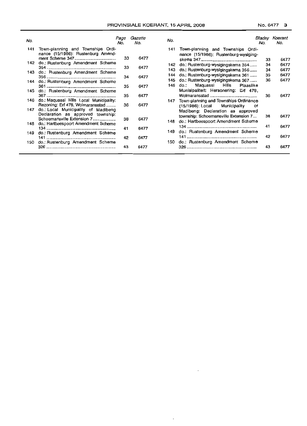|  | No. 6477 | з |
|--|----------|---|
|--|----------|---|

| No. |                                                                         | Page<br>No. | Gazette<br>No. | No. |                                                                            | No. | Bladsy Koerant<br>No. |
|-----|-------------------------------------------------------------------------|-------------|----------------|-----|----------------------------------------------------------------------------|-----|-----------------------|
| 141 | Town-planning and Townships Ordi-<br>nance (15/1986): Rustenburg Amend- | 33          |                | 141 | Town-planning and Townships Ordi-<br>nance (15/1986): Rustenburg-wysiging- |     |                       |
| 142 | do.: Rustenburg Amendment Scheme                                        |             | 6477           |     |                                                                            | 33  | 6477                  |
|     |                                                                         | 33          | 6477           |     | 142 do.: Rustenburg-wysigingskema 354                                      | 34  | 6477                  |
| 143 | do.: Rustenburg Amendment Scheme                                        |             |                | 143 | do.: Rustenburg-wysigingskema 356                                          | 34  | 6477                  |
|     |                                                                         | 34          | 6477           | 144 | do.: Rustenburg-wysigingskema 361                                          | 35  | 6477                  |
| 144 | do.: Rustenburg Amendment Scheme                                        |             |                | 145 | do.: Rustenburg-wysigingskema 367                                          | 36  | 6477                  |
|     |                                                                         | 35          | 6477           | 146 | Hills<br>Maquassi<br>Plaaslike<br>do.:                                     |     |                       |
| 145 | do.: Rustenburg Amendment Scheme                                        |             |                |     | Munisipaliteit: Hersonering: Erf 478,                                      |     |                       |
|     |                                                                         | 35          | 6477           |     |                                                                            | 36  | 6477                  |
| 146 | do.: Maguassi Hills Local Municipality:                                 | 36          | 6477           | 147 | Town-planning and Townships Ordinance                                      |     |                       |
| 147 | Rezoning: Erf 478, Wolmaransstad<br>do.: Local Municipality of Madibeng |             |                |     | $(15/1986)$ : Local Municipality                                           | оt  |                       |
|     | Declaration as approved township:                                       |             |                |     | Madibeng: Declaration as approved                                          |     |                       |
|     | Schoemansville Extension 7                                              | 38          | 6477           |     | township: Schoemansville Extension 7                                       | 38  | 6477                  |
| 148 | do.: Hartbeespoort Amendment Scheme                                     |             |                | 148 | do.: Hartbeespoort Amendment Scheme                                        |     |                       |
|     |                                                                         | 41          | 6477           |     |                                                                            | 41  | 6477                  |
| 149 | do.: Rustenburg Amendment Scheme                                        |             |                | 149 | do.: Rustenburg Amendment Scheme                                           |     |                       |
|     |                                                                         | 42          | 6477           |     |                                                                            | 42  | 6477                  |
| 150 | do.: Rustenburg Amendment Scheme                                        |             |                | 150 | do.: Rustenburg Amendment Scheme                                           |     |                       |
|     |                                                                         | 43          | 6477           |     |                                                                            | 43  | 6477                  |

 $\ddot{\phantom{0}}$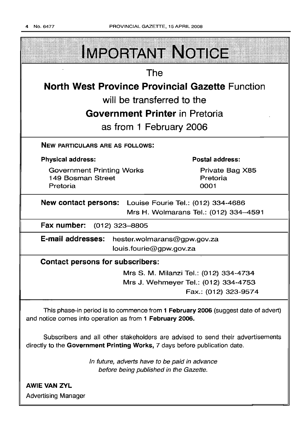

**AWIE VAN ZYL** Advertising Manager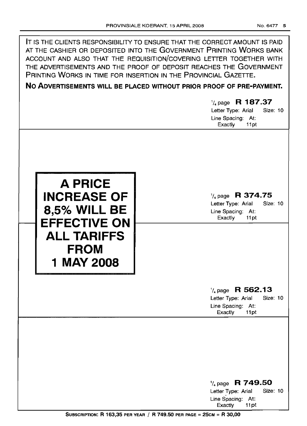| IT IS THE CLIENTS RESPONSIBILITY TO ENSURE THAT THE CORRECT AMOUNT IS PAID<br>AT THE CASHIER OR DEPOSITED INTO THE GOVERNMENT PRINTING WORKS BANK<br>ACCOUNT AND ALSO THAT THE REQUISITION/COVERING LETTER TOGETHER WITH<br>THE ADVERTISEMENTS AND THE PROOF OF DEPOSIT REACHES THE GOVERNMENT<br>PRINTING WORKS IN TIME FOR INSERTION IN THE PROVINCIAL GAZETTE.<br>NO ADVERTISEMENTS WILL BE PLACED WITHOUT PRIOR PROOF OF PRE-PAYMENT.<br>$\frac{1}{4}$ page R 187.37 |                                                                                                                          |  |  |  |
|--------------------------------------------------------------------------------------------------------------------------------------------------------------------------------------------------------------------------------------------------------------------------------------------------------------------------------------------------------------------------------------------------------------------------------------------------------------------------|--------------------------------------------------------------------------------------------------------------------------|--|--|--|
|                                                                                                                                                                                                                                                                                                                                                                                                                                                                          | Letter Type: Arial<br>Size: 10<br>Line Spacing: At:                                                                      |  |  |  |
| <b>A PRICE</b><br><b>INCREASE OF</b><br><b>8,5% WILL BE</b><br><b>EFFECTIVE ON</b><br><b>ALL TARIFFS</b><br><b>FROM</b><br>1 MAY 2008                                                                                                                                                                                                                                                                                                                                    | Exactly<br>11pt<br>$\frac{1}{4}$ page R 374.75<br>Letter Type: Arial<br>Size: 10<br>Line Spacing: At:<br>Exactly<br>11pt |  |  |  |
|                                                                                                                                                                                                                                                                                                                                                                                                                                                                          | $\frac{1}{4}$ page R 562.13<br><b>Size: 10</b><br>Letter Type: Arial<br>Line Spacing: At:<br>Exactly<br>11pt             |  |  |  |
|                                                                                                                                                                                                                                                                                                                                                                                                                                                                          | $\frac{1}{4}$ page R 749.50<br><b>Size: 10</b><br>Letter Type: Arial<br>Line Spacing: At:<br>Exactly<br>11pt             |  |  |  |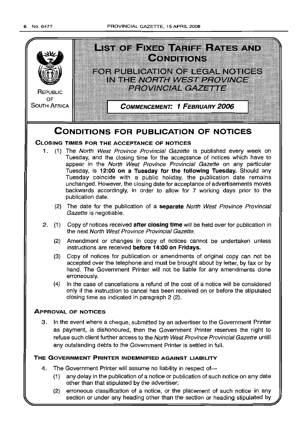

- (1) any delay in the publication of a notice or publication of such notice on any date other than that stipulated by the advertiser;
- (2) erroneous classification of a notice, or the placement of such notice in any section or under any heading other than the section or heading stipulated by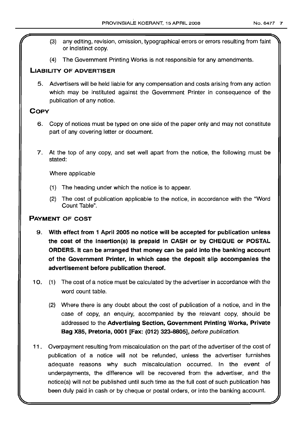- (3) any editing, revision, omission, typographical errors or errors resulting from faint or indistinct copy.
- (4) The Government Printing Works is not responsible for any amendments.

## LIABILITY OF ADVERTISER

5. Advertisers will be held liable for any compensation and costs arising from any action which may be instituted against the Government Printer in consequence of the publication of any notice.

## **COPY**

- 6. Copy of notices must be typed on one side of the paper only and may not constitute part of any covering letter or document.
- 7. At the top of any copy, and set well apart from the notice, the following must be stated:

Where applicable

- (1) The heading under which the notice is to appear.
- (2) The cost of publication applicable to the notice, in accordance with the "Word Count Table".

## PAYMENT OF COST

- 9. With effect from 1 April 2005 no notice will be accepted for publication unless the cost of the insertion(s) is prepaid in CASH or by CHEQUE or POSTAL ORDERS. It can be arranged that money can be paid into the banking account of the Government Printer, in which case the deposit slip accompanies the advertisement before publication thereof.
- 10. (1) The cost of a notice must be calculated by the advertiser in accordance with the word count table.
	- (2) Where there is any doubt about the cost of publication of a notice, and in the case of copy, an enquiry, accompanied by the relevant copy, should be addressed to the Advertising Section, Government Printing Works, Private Bag X85, Pretoria, 0001 [Fax: (012) 323-8805], before publication.
- 11. Overpayment resulting from miscalculation on the part of the advertiser of the cost of publication of a notice will not be refunded, unless the advertiser furnishes adequate reasons why such miscalculation occurred. In the event of underpayments, the difference will be recovered from the advertiser, and the notice(s) will not be published until such time as the full cost of such publication has been duly paid in cash or by cheque or postal orders, or into the banking account.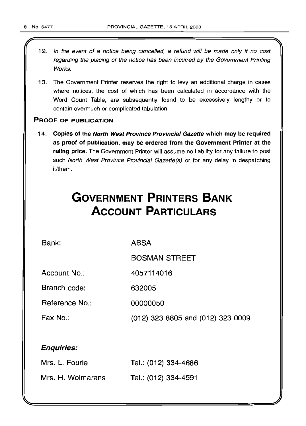- 12. In the event of a notice being cancelled, a refund will be made only if no cost regarding the placing of the notice has been incurred by the Government Printing Works.
- 13. The Government Printer reserves the right to levy an additional charge in cases where notices, the cost of which has been calculated in accordance with the Word Count Table, are subsequently found to be excessively lengthy or to contain overmuch or complicated tabulation.

## PROOF OF PUBLICATION

14. Copies of the North West Province Provincial Gazette which may be required as proof of publication, may be ordered from the Government Printer at the ruling price. The Government Printer will assume no liability for any failure to post such North West Province Provincial Gazette(s) or for any delay in despatching it/them.

# **GOVERNMENT PRINTERS BANK ACCOUNT PARTICULARS**

4057114016

Bank:

ABSA

BOSMAN STREET

Account No.:

Branch code: 632005

Reference No.: 00000050

Fax No.:

(012) 323 8805 and (012) 323 0009

## Enquiries:

| Mrs. L. Fourie    | Tel.: (012) 334-4686 |
|-------------------|----------------------|
| Mrs. H. Wolmarans | Tel.: (012) 334-4591 |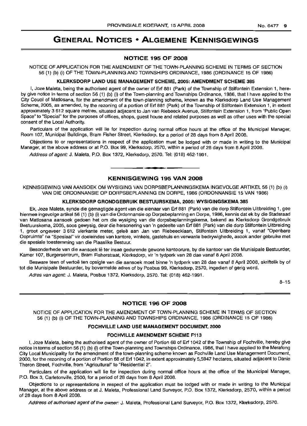## **GENERAL NOTICES • ALGEMENE KENNISGEWINGS**

#### **NOTICE 195 OF 2008**

NOTICE OF APPLICATION FOR THE AMENDMENT OF THE TOWN-PLANNING SCHEME IN TERMS OF SECTION 56 (1) (b) (i) OF THE TOWN-PLANNING AND TOWNSHIPS ORDINANCE, 1986 (ORDINANCE 15 OF 1986)

#### **KLERKSDORP LAND USE MANAGEMENT SCHEME, 2005: AMENDMENT SCHEME 385**

I, Joze Maleta, being the authorised agent of the owner of Ert 881 (Park) of the Township of Stilfontein Extension 1, hereby give notice in terms of section 56 (1) (b) (i) of the Town-planning and Townships Ordinance, 1986, that I have applied to the City Coucil of Matlosana, for the amendment of the town-planning scheme, known as the Klerksdorp Land Use Management Scheme, 2005, as amended, by the rezoning of a portion of Ert 881 (Park) of the Township of Stilfontein Extension 1, in extent approximately 3 612 square metres, situated adjacent to Jan van Riebeeck Avenue, Stilfontein Extension 1, from "Public Open Space" to "Special" for the purposes of offices, shops, guest house and related purposes as well as other uses with the special consent of the Local Authority.

Particulars of the application will lie for inspection during normal office hours at the office of the Municipal Manager, Room 107, Municipal Buildings, Bram Fisher Street, Klerksdorp, for a period of 28 days from 8 April 2008.

Objections to or representations in respect of the application must be lodged with or made in writing to the Municipal Manager, at the above address or at P.O. Box 99, Klerksdorp, 2570, within a period of 28 days from 8 April 2008.

Address of agent: J. Maleta, P.O. Box 1372, Klerksdorp, 2570. Tel: (018) 462-1991.

## **KENNISGEWING 195 VAN 2008**

**-**

KENNISGEWING VAN AANSOEK OM WYSIGING VAN DORPSBEPLANNINGSKEMA INGEVOLGE ARTIKEL 56 (1) (b) (i) VAN DIE ORDONNANSIE OP DORPSBEPLANNING EN DORPE, 1986 (ORDONNANSIE 15 VAN 1986)

#### **KLERKSDORP GRONDGEBRUIK BESTUURSKEMA, 2005: WYSIGINGSKEMA 385**

Ek, Joze Maleta, synde die gemagtigde agent van die eienaar van Ert 881 (Park) van die dorp Stilfontein Uitbreiding 1, gee hiermee ingevolge artikel 56 (1) (b) (i) van die Ordonnansie op Dorpsbeplanning en Dorpe, 1986, kennis dat ek by die Stadsraad van Matlosana aansoek gedoen het om die wysiging van die dorpsbeplanningskema, bekend as Klerksdorp Grondgebruik Bestuurskema, 2005, soos gewysig, deur die hersonering van 'n gedeelte van Ert 881 (Park) van die dorp Stilfontein Uitbreiding 1, groot ongeveer 3 612 vierkante meter, geleë aan Jan van Riebeecklaan, Stilfontein Uitbreiding 1, vanaf "Openbare Oopruimte" na "Spesiaal" vir doeleindes van kantore, winkels, gastehuis en verwante bedrywighede, asook ander gebruike met die spesiale toestemming van die Plaaslike Bestuur.

Besonderhede van die aansoek lê ter insae gedurende gewone kantoorure, by die kantoor van die Munisipale Bestuurder, Kamer 107, Burgersentrum, Bram Fisherstraat, Klerksdorp, vir 'n tydperk van 28 dae vanaf 8 April 2008.

Besware teen of vertoë ten opsigte van die aansoek moet binne 'n tydperk van 28 dae vanaf 8 April 2008, skriftelik by of tot die Munisipale Bestuurder, by bovermelde adres of by Posbus 99, Klerksdorp, 2570, ingedien of gerig word.

Adres van agent: J. Maleta, Posbus 1372, Klerksdorp, 2570. Tel: (018) 462-1991.

8-15

## **NOTICE 196 OF 2008**

NOTICE OF APPLICATION FOR THE AMENDMENT OF TOWN-PLANNING SCHEME IN TERMS OF SECTION 56 (1) (b) (i) OF THE TOWN-PLANNING AND TOWNSHIPS ORDINANCE, 1986 (ORDINANCE 15 OF 1986)

#### **FOCHVILLE LAND USE MANAGEMENT DOCUMENT, 2000**

#### **FOCHVILLE AMENDMENT SCHEME F113**

I, Joze Maleta, being the authorised agent of the owner of Portion 68 of Ert 1042 of the Township of Fochville. hereby give notice in terms of section 56 (1) (b) (i) of the Town-planning and Townships Ordinance, 1986, that I have applied to the Merafong City Local Municipality for the amendment of the town-planning scheme known as Fochville Land Use Management Document, 2000, for the rezoning of a portion of Portion 68 of Ert 1042, in extent approximately 5,5947 hectares, situated adjacent to Danie Theron Street, Fochville, from "Agricultural" to "Residential 2".

Particulars of the application will lie for inspection during normal office hours at the office of the Municipal Manager, P.O. Box 3, Carletonville, 2500, for a period of 28 days from 8 April 2008.

Objections to or representations in respect of the application must be lodged with or made in writing to the Municipal Manager, at the above address or at J. Maleta, Professional Land Surveyor, P.O. Box 1372, Klerksdorp, 2570, within a period of 28 days from 8 April 2008.

Address of authorised agent of the owner: J. Maleta, Professional Land Surveyor, P.O. Box 1372, Klerksdorp, 2570.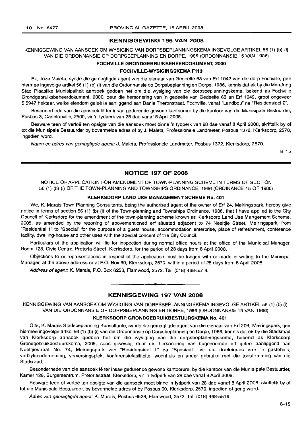## **KENNISGEWING 196 VAN 2008**

KENNISGEWING VAN AANSOEK OM WYSIGING VAN DORPSBEPLANNINGSKEMA INGEVOLGE ARTIKEL 56 (1) (b) (i) VAN DIE ORDONNANSIE OP DORPSBEPLANNING EN DORPE, 1986 (ORDONNANSIE 15 VAN 1986)

#### **FOCHVILLE GRONDGEBRllIKBEHEERDOKUMENT, 2000**

#### **FOCHVILLE-WYSIGINGSKEMA F113**

Ek, Joze Maleta, synde die gemagtigde agent van die eienaar van Gedeelte 68 van Ert 1042 van die dorp Fochville, gee hiermee ingevolge artikel 56 (1) (b) (i) van die Ordonnansie op Dorpsbeplanning en Dorpe, 1986, kennis dat ek by die Merafong Stad Plaaslike Munisipaliteit aansoek gedoen het om die wysiging van die dorpsbeplanningskema, bekend as Fochville Grondgebruiksbeheerdokument, 2000, deur die hersonering van 'n gedeelte van Gedeelte 68 an Ert 1042, groot ongeveer 5,5947 hektaar, welke eiendom geleë is aanliggend aan Danie Theronstraat, Fochville, vanaf "Landbou" na "Residensieel 2".

Besonderhede van die aansoek lê ter insae gedurende gewone kantoorure by die kantoor van die Munisipale Bestuurder, Posbus 3, Carletonville, 2500, vir 'n tydperk van 28 dae vanaf 8 April 2008.

Besware teen of vertoë ten opsigte van die aansoek moet binne 'n tydperk van 28 dae vanaf 8 April 2008, skriftelik by of tot die Munisipale Bestuurder by bovermelde adres of by J. Maleta, Professionele Landmeter, Posbus 1372, Klerksdorp, 2570, ingedien word.

Naam en adres van gemagtigde agent: J. Maleta, Professionele Landmeter, Posbus 1372, Klerksdorp, 2570.

8-15

#### **NOTICE 197 OF 2008**

NOTICE OF APPLICATION FOR AMENDMENT OF TOWN-PLANNING SCHEME IN TERMS OF SECTION 56 (1) (b) (i) OF THE TOWN-PLANNING AND TOWNSHIPS ORDINANCE, 1986 (ORDINANCE 15 OF 1986)

## **KLERKSDORP LAND USE MANAGEMENT SCHEME No. 401**

We, K. Marais Town Planning Consultants, being the authorised agent of the owner of Ert 24, Meiringspark, hereby give notice in terms of section 56 (1) (b) (i) of the Town-planning and Townships Ordinance, 1986, that I have applied to the City Council of Klerksdorp for the amendment of the town-planning scheme known as Klerksdorp Land Use Mangement Scheme, 2005, as amended by the rezoning of abovementioned ert situated adjacent to 74 Neeltjie Street, Meiringspark, from "Residential 1" to "Special" for the purpose of a guest house, accommodation enterprise, place of refreshment, conference facility, dwelling-house and other uses with the special concent of the City Council.

Particulars of the application will lie for inspection during normal office hours at the office of the Municipal Manager, Room 128, Civic Centre, Pretoria Street, Klerksdorp, for the period of 28 days from 8 April 2008.

Objections to or representations in respect of the application must be lodged with or made in writing to the Municipal Manager, at the above address or at P.O. Box 99, Klerksdorp, 2570, within a period of 28 days from 8 April 2008.

Address of agent: K. Marais, P.O. Box 6258, Flamwood, 2572. Tel: (018) 468-5519.

#### **KENNISGEWING 197 VAN 2008**

.**- .**

KENNISGEWING VAN AANSOEK OM WYSIGING VAN DORPSBEPLANNINGSKEMA INGEVOLGE ARTIKEL 56 (1) (b) (i) VAN DIE ORDONNANSIE OP DORPSBEPLANNING EN DORPE, 1986 (ORDONNANSIE 15 VAN 1986)

#### **KLERKSDORP GRONDGEBRUIKBESTUURSKEMA No. 401**

Ons, K. Marais Stadsbeplanning Konsultante, synde die gemagtigde agent van die eienaar van Ert 208, Meiringspark, gee hiermee ingevolge artkel 56 (1) (b) (i) van die Ordonnansie op Dorpsbeplanning en Dorpe, 1986, kennis dat ek by die Stadsraad van Klerksdorp aansoek gedoen het om die wysiging van die dorpsbeplanningskema, bekend as Klerksdorp Grondgebruikbestuurskema, 2005, soos gewysig, deur die hersonering van bogenoemde erf geleë aanliggend aan Neeltjiestraat No. 74, Meiringspark van "Residensieel 1" na "Spesiaal", vir die doeleindes van 'n gastehuis, verblyfsonderneming, verversingsplek, konferensiefasiliteite, woonhuis en ander gebruike met die toestemming van die Stadsraad.

Besonderhede van die aansoek lê ter insae gedurende gewone kantoorure, by die kantoor van die Munisipale Bestuurder, Kamer 128, Burgersentrum, Pretoriastraat, Klerksdorp, vir 'n tydperk van 28 dae vanaf 8 April 2008.

Besware teen of vertoe ten opsigte van die aansoek moet binne 'n tydperk van 28 dae vanaf 8 April 2008, skriftelik by of tot die Munisipale Bestuurder, by bovermelde adres of by Posbus 99, Klerksdorp, 2570, ingedien of gerig word.

Adres van gemagtigde agent: K. Marais, Posbus 6528, Flamwood, 2572. Tel: (018) 468-5519.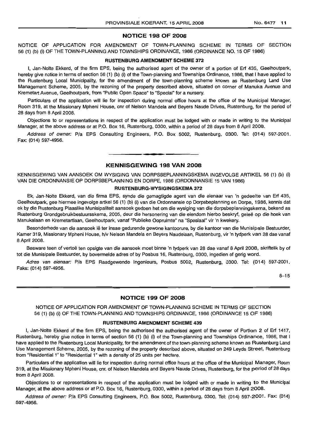#### **NOTICE 198 OF 2008**

NOTICE OF APPLICATION FOR AMENDMENT OF TOWN-PLANNING SCHEME IN TERMS OF SECTION 56 (1) (b) (i) OF THE TOWN-PLANNING AND TOWNSHIPS ORDINANCE, 1986 (ORDINANCE NO. 15 OF 1986)

#### **RUSTENBURG AMENDMENT SCHEME 372**

I, Jan-Nolte Ekkerd, of the firm EPS, being the authorised agent of the owner of a portion of Erf 435, Geelhoutpark, hereby give notice in terms of section 56 (1) (b) (i) of the Town-planning and Townships Ordinance, 1986, that I have applied to the Rustenburg Local Municipality, for the amendment of the town-planning scheme known as Rustenburg Land Use Management Scheme, 2005, by the rezoning of the property described above, situated on corner of Manuka Avenue and Kremetart Avenue, Geelhoutpark, from "Public Open Space" to "Special" for a nursery.

Particulars of the application will lie for inspection during normal office hours at the office of the Municipal Manager, Room 319, at the Missionary Mpheni House, cnr of Nelson Mandela and Beyers Naude Drives, Rustenburg, for the period of 28 days from 8 April 2008.

Objections to or representations in respect of the application must be lodged with or made in writing to the Municipal Manager, at the above address or at P.O. Box 16, Rustenburg, 0300, within a period of 28 days from 8 April 2008.

Address of owner: *Pia* EPS Consulting Engineers, P.O. Box 5002, Rustenburg, 0300. Tel: (014) 597·2001. Fax: (014) 597-4956.

## **KENNISGEWING 198 VAN 2008**

**.-**

KENNISGEWING VAN AANSOEK OM WYSIGING VAN DORPSBEPLANNINGSKEMA INGEVOLGE ARTIKEL 56 (1) (b) (i) VAN DIE ORDONNANSIE OP DORPSBEPLANNING EN DORPE, 1986 (ORDONNANSIE 15 VAN 1986)

#### **RUSTENBURG-WYSIGINGSKEMA** 372

Ek, Jan-Nolte Ekkerd, van die firma EPS, synde die gemagtigde agent van die eienaar van 'n gedeelte van Erf 435, Geelhoutpark, gee hiermee ingevolge artkel 56 (1) (b) (i) van die Ordonnansie op Dorpsbeplanning en Dorpe, 1986, kennis dat ek by die Rustenburg Plaaslike Munisipaliteit aansoek gedoen het om die wysiging van die dorpsbeplanningskema, bekend as Rustenburg Grondgebruikbestuursskema, 2005, deur die hersonering van die eiendom hierbo beskryf, gelee op die hoek van Manukalaan en Kremetartlaan, Geelhoutpark, vanaf "Publieke Oopruimte" na "Spesiaal" vir 'n kwekery.

Besonderhede van die aansoek Ie ter insae gedurende gewone kantoorure, by die kantoor van die Munisipale Bestuurder, Kamer 319, Missionary Mpheni House, h/v Nelson Mandela en Beyers Naudelaan, Rustenburg, vir 'n tydperk van 28 dae vanaf 8 April 2008.

Besware teen of vertoë ten opsigte van die aansoek moet binne 'n tydperk van 28 dae vanaf 8 April 2008, skriftelik by of tot die Munisipale Bestuurder, by bovermelde adres of by Posbus 16, Rustenburg, 0300, ingedien of gerig word.

Adres van eienaar: *Pia* EPS Raadgewende Ingenieurs, Posbus 5002, Rustenburg, 0300. Tel: (014) 597-2001. Faks: (014) 597-4956.

8-15

## **NOTICE 199 OF 2008**

NOTICE OF APPLICATION FOR AMENDMENT OF TOWN·PLANNING SCHEME IN TERMS OF SECTION 56 (1) (b) (i) OF THE TOWN-PLANNING AND TOWNSHIPS ORDINANCE, 1986 (ORDINANCE 15 OF 1986)

#### **RUSTENBURG AMENDMENT SCHEME 439**

I, Jan-Nolte Ekkerd of the firm EPS, being the authorised the authorised agent of the owner of Portion 2 of Erf 1417, Rustenburg, hereby give notice in terms of section 56 (1) (b) (i) of the Town-planning and Townships Ordinance, 1986, that I have applied to the Rustenburg Local Municipality, for the amendment of the town-planning scheme known as Rustenburg Land Use Management Scheme, 2005, by the rezoning of the property described above, situated on 249 Leyds Street, Rustenburg from "Residential 1" to "Residential 1" with a density of 25 units per hectare.

Particulars of the application will lie for inspection during normal office hours at the office of the Municipal Manager, Room 319, at the Missionary Mpheni House, cnr. of Nelson Mandela and Beyers Naude Drives, Rustenburg, for the period of 28 days from 8 April 2008.

Objections to or representations in respect of the application must be lodged with or made in writing to the Municipal Manager, at the above address or at P.O. Box 16, Rustenburg, 0300, within a period of 28 days from 8 April 2008.

Address of owner: *Pia* EPS Consulting Engineers, P.O. Box 5002, Rustenburg, 0300. Tel: (014) 597-2001. Fax: (014) 597-4956.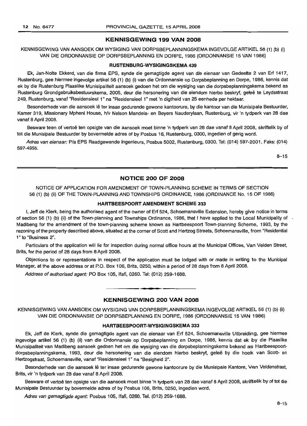#### **KENNISGEWING 199 VAN 2008**

KENNISGEWING VAN AANSOEK OM WYSIGING VAN DORPSBEPLANNINGSKEMA INGEVOLGE ARTIKEL 56 (1) (b) (i) VAN DIE ORDONNANSIE OP DORPSBEPLANNING EN DORPE, 1986 (ORDONNANSIE 15 VAN 1986)

#### **RUSTENBURG-WYSIGINGSKEMA 439**

Ek, Jan-Nolte Ekkerd, van die firma EPS, synde die gemagtigde agent van die eienaar van Gedeelte 2 van Erf 1417, Rustenburg, gee hiermee ingevolge artikel 56 (1) (b) (i) van die Ordonnansie op Dorpsbeplanning en Dorpe, 1986, kennis dat ek by die Rustenburg Plaaslike Munisipaliteit aansoek gedoen het om die wysiging van die dorpsbeplanningskema bekend as Rustenburg Grondgebruiksbestuurskema, 2005, deur die hersonering van die eiendom hierbo beskryf, geleë te Leydsstraat 249, Rustenburg, vanaf "Residensieel 1" na "Residensieel 1" met 'n digtheid van 25 eenhede per hektaar.

Besonderhede van die aansoek lê ter insae gedurende gewone kantoorure, by die kantoor van die Munisipale Bestuurder, Kamer 319, Missionary Mpheni House, hlv Nelson Mandela- en Beyers Nauderylaan, Rustenburg, vir 'n tydperk van 28 dae vanaf 8 April 2008.

Besware teen of vertoë ten opsigte van die aansoek moet binne 'n tydperk van 28 dae vanaf 8 April 2008, skriftelik by of tot die Munisipale Bestuurder by bovermelde adres of by Posbus 16, Rustenburg, 0300, ingedien of gerig word.

Adres van eienaar: Pia EPS Raadgewende Ingenieurs, Posbus 5002, Rustenburg, 0300. Tel: (014) 597-2001. Faks: (014) 597-4956.

8-15

## **NOTICE 200 OF 2008**

## NOTICE OF APPLICATION FOR AMENDMENT OF TOWN-PLANNING SCHEME IN TERMS OF SECTION 56 (1) (b) (ii) OF THE TOWN-PLANNING AND TOWNSHIPS ORDINANCE, 1986 (ORDINANCE No. 15 OF 1986)

#### **HARTBEESPOORT AMENDMENT SCHEME 333**

I, Jeff de Klerk, being the authorised agent of the owner of Erf 524, Schoemansville Extension, hereby give notice in terms of section 56 (1) (b) (ii) of the Town-planning and Townships Ordinance, 1986, that I have applied to the Local Municipality of . Madibeng for the amendment of the town-planning scheme known as Hartbeespoort Town-planning Scheme, 1993, by the rezoning of the property described above, situated at the corner of Scott and Hertzog Streets, Schoemansville, from "Residential 1" to "Business 2".

Particulars of the application will lie for inspection during normal office hours at the Municipal Offices, Van Velden Street, Brits, for the period of 28 days from 8 April 2008.

Objections to or representations in respect of the application must be lodged with or made in writing to the Municipal Manager, at the above address or at P.O. Box 106, Brits, 0250, within a period of 28 days from 8 April 2008.

Address of authorised agent: PO Box 105, Ifafi, 0260. Tel: (012) 259-1688.

## **KENNISGEWING 200 VAN 2008**

• **• •**

KENNISGEWING VAN AANSOEK OM WYSIGING VAN DORPSBEPLANNINGSKEMA INGEVOLGE ARTIKEL 56 (1) (b) (ii) VAN DIE ORDONNANSIE OP DORPSBEPLANNING EN DORPE, 1986 (ORDONNANSIE 15 VAN 1986)

#### **HARTBEESPOORT-WYSIGINGSKEMA 333**

Ek, Jeff de Klerk, synde die gemagtigde agent van die eienaar van Erf 524, Schoemansville Uitbreiding, gee hiermee ingevolge artikel 56 (1) (b) (ii) van die Ordonnansie op Dorpsbeplanning en Dorpe, 1986, kennis dat ek by die Plaaslike Munisipaliteit van Madibeng aansoek gedoen het om die wysiging van die dorpsbeplanningskema bekend as Hartbeespoortdorpsbeplanningskema, 1993, deur die hersonering van die eiendom hierbo beskryf, gelee by die hoek van Scott- en Hertzogstraat, Schoemansville, vanaf "Residensieel 1" na "Besigheid 2".

Besonderhede van die aansoek Ie ter insae gedurende gewone kantoorure by die Munisipale Kantore, Van Veldenstraat, Brits, vir 'n tydperk van 28 dae vanaf 8 April 2008.

Besware of vertoë ten opsigte van die aansoek moet binne 'n tydperk van 28 dae vanaf 8 April 2008, skriftelik by of tot die Munisipale Bestuurder by bovermelde adres of by Posbus 106, Brits, 0250, ingedien word.

Adres van gemagtigde agent: Posbus 105, lfafi, 0260. Tel. (012) 259-1688.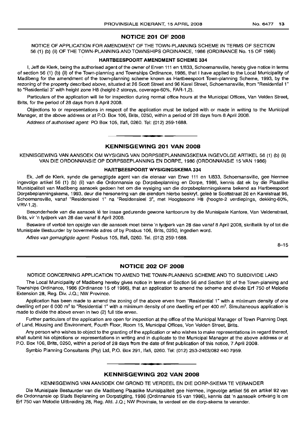## NOTICE 201 OF 2008

NOTICE OF APPLICATION FOR AMENDMENT OF THE TOWN-PLANNING SCHEME IN TERMS OF SECTION 56 (1) (b) (ii) OF THE TOWN-PLANNING AND TOWNSHIPS ORDINANCE, 1986 (ORDINANCE No. 15 OF 1986)

### HARTBEESPOORT AMENDMENT SCHEME 334

I, Jeff de Klerk, being the authorised agent of the owner of Erven 111 en 1/833, Schoemansville, hereby give notice in terms of section 56 (1) (b) (ii) of the Town-planning and Townships Ordinance, 1986, that I have applied to the Local Municipality of Madibeng for the amendment of the town-planning scheme known as Hartbeespoort Town-planning Scheme, 1993, by the rezoning of the property described above, situated at 26 Scott Street and 96 Karel Street, Schoemansville, from "Residential 1" to "Residential 3" with height zone H8 (height-2 storeys, coverage-60%, FAR-1,2).

Particulars of the application will lie for inspection during normal office hours at the Municipal Offices, Van Velden Street, Brits, for the period of 28 days from 8 April 2008.

Objections to or representations in respect of the application must be lodged with or made in writing to the Municipal Manager, at the above address or at P.O. Box 106, Brits, 0250, within a period of 28 days from 8 April 2008.

Address of authorised agent: PO Box 105, Ifafi, 0260. Tel: (012) 259-1688. .**\_ .**

#### KENNISGEWING 201 VAN 2008

KENNISGEWING VAN AANSOEK OM WYSIGING VAN DORPSBEPLANNINGSKEMA INGEVOLGE ARTIKEL 56 (1) (b) (ii) VAN DIE ORDONNANSIE OP DORPSBEPLANNING EN DORPE, 1986 (ORDONNANSIE 15 VAN 1986)

## HARTBEESPOORT WYSIGINGSKEMA 334

Ek, Jeff de Klerk, synde die gemagtigde agent van die eienaar van Erwe 111 en 1/833, Schoemansville, gee hiermee ingevolge artikel 56 (1) (b) (ii) van die Ordonnansie op Dorpsbeplanning en Dorpe, 1986, kennis dat ek by die Plaaslike Munisipaliteit van Madibeng aansoek gedoen het om die wysiging van die dorpsbeplanningskema bekend as Hartbeespoort Dorpsbeplanningskema, 1993, deur die hersonering van die eiendom hierbo beskryf, gelee te Scottstraat 26 en Karelstraat 96, Schoemansville, vanaf "Residensieel 1" na "Residensieel 3", met Hoogtesone H8 (hoogte-2 verdiepings, dekking-60%, VRV-1,2).

Besonderhede van die aansoek lê ter insae gedurende gewone kantoorure by die Munisipale Kantore, Van Veldenstraat, Brits, vir 'n tydperk van 28 dae vanaf 8 April 2008.

Besware of vertoë ten opsigte van die aansoek moet binne 'n tydperk van 28 dae vanaf 8 April 2008, skriftelik by of tot die Munisipale Bestuurder by bovermelde adres of by Posbus 106, Brits, 0250, ingedien word.

Adres van gemagtigde agent: Posbus 105, Ifafi, 0260. Tel. (012) 259-1688.

8-15

## NOTICE 202 OF 2008

NOTICE CONCERNING APPLICATION TO AMEND THE TOWN-PLANNING SCHEME AND TO SUBDIVIDE LAND

The Local Municipality of Madibeng hereby gives notice in terms of Section 56 and Section 92 of the Town-planning and Townships Ordinance, 1986 (Ordinance 15 of 1986), that an application to amend the scheme and divide Erf 750 of Melodie Extension 28, Reg. Div. J.Q.; NW Province.

Application has been made to amend the zoning of the above erven from "Residential 1" with a minimum density of one dwelling ert per 6 000 m<sup>2</sup> to "Residential 1" with a minimum density of one dwelling erf per 400 m<sup>2</sup>. Simultaneous application is made to divide the above erven in two (2) full title erven.

Further particulars of the application are open for inspection at the office of the Municipal Manager of Town Planning Dept. of Land, Housing and Environment, Fourth Floor, Room 15, Municipal Offices, Von Velden Street, Brits.

Any person who wishes to object to the granting of the application or who wishes to make representations in regard thereof, shall submit his objections or representations in writing and in duplicate to the Municipal Manager at the above address or at P.O. Box 106, Brits, 0250, within a period of 28 days from the date of first publication of this notice, 7 April 2008.

Symbio Planning Consultants (Pty) Ltd, P.O. Box 291, Ifafi, 0260. Tel: (012) 253-2463/082440 7959.

## KENNISGEWING 202 VAN 2008

I **• I**

KENNISGEWING VAN AANSOEK OM GROND TE VERDEEL EN DIE DORP-SKEMA TE VERANDER

Die Munisipale Bestuurder van die Madibeng Plaaslike Munisipaliteit gee hiermee, ingevolge artikel 56 en artikel 92 van die Ordonnansie op Stads Beplanning en Dorpstigting, 1986 (Ordinnansie 15 van 1986), kennis dat 'n aansoek ontvang is om Ert 750 van Melodie Uitbreiding 28, Reg. Afd. J.Q.; NW Provinsie, te verdeel en die dorp-skema te verander.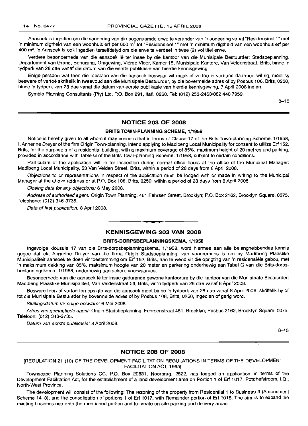Aansoek is ingedien am die soneering van die bogenaamde erwe te verander van 'n soneering vanaf "Residensieel 1" met 'n minimum digtheid van een woonhuis erf per 600 m<sup>2</sup> tot "Residensieel 1" met 'n minimum digtheid van een woonhuis erf per 400 m<sup>2</sup>. 'n Aansoek is ook ingedien terselfdetyd om die erwe te verdeel in twee (2) vol titel erwe.

Verdere besonderhede van die aansoek lê ter insae by die kantoor van die Munisipale Bestuurder: Stadsbeplanning, Departement van Grond, Behuising, Omgewing, Vierde Vloer, Kamer 15, Munisipale Kantore, Van Veldenstraat, Brits, binne 'n tydperk van 28 dae vanaf die datum van die eerste publikasie van hierdie kennisgewing.

Enige persoon wat teen die toestaan van die aansoek beswaar wil maak of vertoë in verband daarmee wil rig, moet sy besware of vertoe skriftelik in tweevoud aan die Munisipale Bestuurder, by die bovermelde adres of by Posbus 106, Brits, 0250, binne 'n tydperk van 28 dae vanaf die datum van eerste publikasie van hierdie kennisgewing, 7 April 2008 indien.

Symbio Planning Consultants (Pty) Ltd, P.O. Box 291, Ifafi, 0260. Tel: (012) 253-2463/0824407959.

 $8 - 15$ 

## **NOTICE 203 OF 2008**

## **BRITS TOWN-PLANNING SCHEME,** 1/1958

Notice is hereby given to all whom it may concern that in terms of Clause 17 of the Brits Town-planning Scheme, 1/1958, I,Annerine Dreyer of the firm Origin Town-planning, intend applying to Madibeng Local Municipality for consent to utilize Ert 152, Brits, for the purpose s of a residential building, with a maximum coverage of 85%, maximum height of 20 metres and parking, provided in accordance with Table G of the Brits Town-planning Scheme, 1/1958, subject to certain conditions.

Particulars of the application will lie for inspection during normal office hours at the office of the Municipal Manager: Madibeng Local Municipality, 53 Van Velden Street, Brits, within a period of 28 days from 8 April 2008.

Objections to or representations in respect of the. application must be lodged with or made in writing to the Municipal Manager at the above address or at P.O. Box 106, Brits, 0250, within a period of 28 days from 8 April 2008.

Closing date for any objections: 6 May 2008.

Address of authorised agent: Origin Town Planning, 461 Fehrsen Street, Brooklyn; P.O. Box 2162, Brooklyn Square, 0075. Telephone: (012) 346-3735.

Date of first publication: 8 April 2008.

## **KENNISGEWING 203 VAN 2008**

**• •**

#### **BRITS-DORPSBEPLANNINGSKEMA, 1/1958**

Ingevolge klousule 17 van die Brits-dorpsbeplanningskema, 1/1958, word hiermee aan aile belanghebbendes kennis gegee dat ek, Annerine Dreyer van die firma Origin Stadsbeplanning, van voornemens is om by Madibeng Plaaslike Munisipaliteit aansoek te doen vir toestemming om Ert 152, Brits, aan te wend vir die oprigting van 'n residensiete gebou, met 'n maksimum dekking van 85%, maksimum hoogte van 20 meter en parkering onderhewig aan Tabel G van die Brits-dorpsbeplanningskema, 1/1958, onderhewig aan sekere voorwaardes.

Besonderhede van die aansoek lê ter insae gedurende gewone kantoorure by die kantoor van die Munisipale Bestuurder: Madibeng Plaaslike Munisipaliteit, Van Veldenstraat 53, Brits, vir 'n tydperk van 28 dae vanaf 8 April 2008.

Besware teen of vertoë ten opsigte van die aansoek moet binne 'n tydperk van 28 dae vanaf 8 April 2008, skriftelik by of tot die Munisipale Bestuurder by bovermelde adres of by Posbus 106, Brits, 0250, ingedien of gerig word.

Sluitingsdatum vir enige besware: 6 Mei 2008.

Adres van gemagtigde agent: Origin Stadsbeplanning, Fehrsenstraat 461, Brooklyn; Posbus 2162, Brooklyn Square, 0075. Telefoon: (012) 346-3735.

Datum van eerste publikasie: 8 April 2008.

8-15

#### **NOTICE 208 OF 2008**

[REGULATION 21 (10) OF THE DEVELOPMENT FACILITATION REGULATIONS IN TERMS OF THE DEVELOPMENT FACILITATION ACT, 1995]

Townscape Planning Solutions CC, P.O. Box 20831, Noorbrug, 2522, has lodged an application in terms of the Development Facilitation Act, for the establishment of a land development area on Portion 1 of Ert 1017, Potchefstroom, I.Q., North-West Province.

The development will consist of the following: The rezoning of the property from Residential 1 to Business 3 (Amendment Scheme 1413), and the consolidation of portions 1 of Ert 1017, with Remainder portion of Ert 1018. The aim is to expand the existing business use onto the mentioned portion and to create on site parking and delivery areas.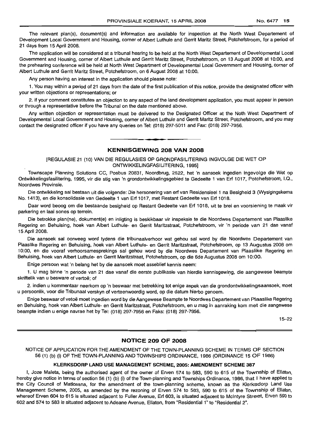The relevant plan(s), document(s) and information are available for inspection at the North West Departement of Development Local Government and Housing, corner of Albert Luthule and Gerrit Maritz Street, Potchefstroom, for a period of 21 days from 15 April 2008.

The application will be considered at a tribunal hearing to be held at the North West Departement of Developmental Local Government and Housing, corner of Albert Luthule and Gerrit Maritz Street, Potchefstroom, on 13 August 2008 at 10:00, and the prehearing conference will be held at North West Department of Developmental Local Government and Housing, corner of Albert Luthule and Gerrit Maritz Street, Potchefstroom, on 6 August 2008 at 10:00.

Any person having an interest in the application should please note:

1. You may within a period of 21 days from the date of the first publication of this notice, provide the designated officer with your written objections or representations; or

2. if your comment constitutes an objection to any aspect of the land development application, you must appear in person or through a representative before the Tribunal on the date mentioned above.

Any written objection or representation must be delivered to the Designated Officer at the Noth West Department of Developmental Local Government and Housing, corner of Albert Luthule and Gerrit Maritz Street, Potchefstroom, and you may contact the designated officer if you have any queries on Tel: (018) 297-5011 and Fax: (018) 297-7956.

**- .**

## KENNISGEWING 208 VAN 2008

[REGULASIE 21 (10) VAN DIE REGULASIES OP GRONDFASILITERING INGVOLGE DIE WET OP ONTWIKKELlNGFASILITERING, 1995]

Townscape Planning Solutions CC, Posbus 20831, Noordbrug, 2522, het 'n aansoek ingedien ingevolge die Wet op Ontwikkelingsfasilitering, 1995, vir die stig van 'n grondontwikkelingsgebied te Gedeelte 1 van Erf 1017, Potchefstroom, I.Q., Noordwes Provinsie.

Die ontwikkeling sal bestaan uit die volgende: Die hersonering van erf van Residensieel 1 na Besigheid 3 (Wysigingskema No. 1413), en die konsolidasie van Gedeelte 1 van Erf 1017, met Restant Gedeelte van Erf 1018.

Daar word beoog om die bestaande besigheid op Restant Gedeelte van Erf 1018, uit te brei en voorsiening te maak vir parkering en laai sones op terrein.

Die betrokke plan(ne), dokument(e) en inligting is beskikbaar vir inspeksie te die Noordwes Departement van Plaaslike Regering en Behuising, hoek van Albert Luthule- en Gerrit Maritzstraat, Potchefstroom, vir 'n periode van 21 dae vanaf 15 April 2008.

Die aansoek sal oorweeg word tydens die tribunaalverhoor wat gehou sal word by die Noordwes Departement van Plaaslike Regering en Behuising, hoek van Albert Luthule- en Gerrit Maritzstraat, Potchefstroom, op 13 Augustus 2008 om 10:00, en die vooraf verhoorsamesprekings sal gehou word by die Noordwes Departement van Plaaslike Regering en Behuising, hoek van Albert Luthule- en Gerrit Maritzstraat, Potchefstroom, op die 6de Augustus 2008 om 10:00.

Enige persoon wat 'n belang het by die aansoek moet asseblief kennis neem:

1. U mag binne 'n periode van 21 dae vanaf die eerste publikasie van hierdie kennlsqewinq, die aangewese beampte skriftelik van u besware of vertoë: of

2. indien u kommentaar neerkom op 'n beswaar met betrekking tot enige aspek van die grondontwikkelingsaansoek, moet u persoonlik, voor die Tribunaal verskyn of verteenwoordig word, op die datum hierbo genoem.

Enige beswaar of vetoe moet ingedien word by die Aangewese Beampte te Noordwes Departement van Plaaslike Regering en Behuising, hoek van Albert Luthule- en Gerrit Maritzstraat, Potchefstroom, en u mag in aanraking kom met die aangewese beampte indien u enige navrae het by Tel: (018) 297-7956 en Faks: (018) 297-7956.

15-22

## NOTICE 209 OF 2008

NOTICE OF APPLICATION FOR THE AMENDMENT OF THE TOWN-PLANNING SCHEME IN TERMS OF SECTION 56 (1) (b) (i) OF THE TOWN-PLANNING AND TOWNSHIPS ORDINANCE, 1986 (ORDINANCE 15 OF 1986)

#### KLERKSDORP LAND USE MANAGEMENT SCHEME, 2005: AMENDMENT SCHEME 387

I, Joze Maleta, being the authorised agent of the owner of Erven 574 to 583, 590 to 615 of the Township of Ellaton, hereby give notice in terms of section 56 (1) (b) (i) of the Town-planning and Townships Ordinance, 1986, that I have applied to the City Council of Matlosana, for the amendment of the town-planning scheme, known as the K/erksdorp Land Use Management Scheme, 2005, as amended by the rezoning of Erven 574 to 583, 590 to 615 of the Township of Ellaton, whereof Erven 604 to 615 is situated adjacent to Fuller Avenue, Erf 603, is situated adjacent to Mcintyre Street, Erven 590 to 602 and 574 to 583 is situated adjacent to Adeane Avenue, Ellaton, from "Residential 1" to "Residential 2".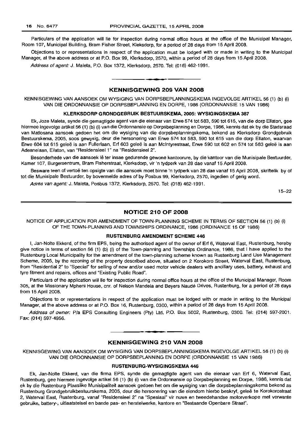Particulars of the application will lie for inspection during normal office hours at the office of the Municipal Manager, Room 107, Municipal Building, Bram Fisher Street, Kleksdorp, for a period of 28 days from 15 April 2008.

Objections to or representations in respect of the application must be lodged with or made in writing to the Municipal Manager, at the above address or at P.O. Box 99, Klerksdorp, 2570, within a period of 28 days from 15 April 2008.

Address of agent: J. Maleta, P.O. Box 1372, Klerksdorp, 2570. Tel: (018) 462-1991 .

## KENNISGEWING 209 VAN 2008

**•**

KENNISGEWING VAN AANSOEK OM WYSIGING VAN DORPSBEPLANNINGSKEMA INGEVOLGE ARTIKEL 56 (1) (b) (i) VAN DIE ORDONNANSIE OP DORPSBEPLANNING EN DORPE, 1986 (ORDONNANSIE 15 VAN 1986)

#### KLERKSDORP GRONDGEBRUIK BESTUURSKEMA, 2005: WYSIGINGSKEMA 387

Ek, Joze Maleta, synde die gemagtigde agent van die eienaar van Erwe 574 tot 583, 590 tot 615, van die dorp Ellaton, gee hiermee ingevolge artikel 56 (1) (b) (i) van die Ordonnansie op Dorpsbeplanning en Dorpe, 1986, kennis dat ek by die Stadsraad van Matlosana aansoek gedoen het om die wysiging van die dorpsbeplanningskema, bekend as Klerksdorp Grondgebruik Bestuurskema, 2005, 5005 gewysig, deur die hersonering van Erwe 574 tot 583, 590 tot 615 van die dorp Ellaton, waarvan Erwe 604 tot 615 geleë is aan Fullerlaan, Erf 603 geleë is aan McIntyrestraat, Erwe 590 tot 602 en 574 tot 583 geleë is aan Adeanelaan, Ellaton, van "Residensieel 1" na "Residensieel 2".

Besonderhede van die aansoek lê ter insae gedurende gewone kantoorure, by die kantoor van die Munisipale Bestuurder, Kamer 107, Burgersentrum, Bram Fisherstraat, Klerksdorp, vir 'n tydperk van 28 dae vanaf 15 April 2008.

Besware teen of vertoë ten opsigte van die aansoek moet binne 'n tydperk van 28 dae vanaf 15 April 2008, skriftelik by of tot die Munisipale Bestuurder, by bovermelde adres of by Posbus 99, Klerksdorp, 2570, ingedien of gerig word.

Adres van agent: J. Maleta, Posbus 1372, Klerksdorp, 2570. Tel: (018) 462-1991.

15-22

#### NOTICE 210 OF 2008

NOTICE OF APPLICATION FOR AMENDMENT OF TOWN-PLANNING SCHEME IN TERMS OF SECTION 56 (1) (b) (i) OF THE TOWN-PLANNING AND TOWNSHIPS ORDINANCE, 1986 (ORDINANCE 15 OF 1986)

## RUSTENBURG AMENDMENT SCHEME 446

I, Jan-Nolte Ekkerd, of the firm EPS, being the authorised agent of the owner of Erf 6, Waterval East, Rustenburg, hereby give notice in terms of section 56 (1) (b) (i) of the Town-planning and Townships Ordinance, 1986, that I have applied to the Rustenburg Local Municipality for the amendment of the town-planning scheme known as Rustenburg Land Use Management Scheme, 2005, by the rezoning of the property described above, situated on 2 Korokoro Street, Waterval East, Rustenburg, from "Residential 2" to "Special" for selling of new and/or used motor vehicle dealers with ancillary uses, battery, exhaust and tyre fitment and repairs, offices and "Existing Public Road".

Particulars of the application will lie for inspection during normal office hours at the office of the Municipal Manager, Room 305, at the Missionary Mpheni House, cnr. of Nelson Mandela and Beyers Naude Drives, Rustenburg, for a period of 28 days from 15 April 2008.

Objections to or representations in respect of the application must be lodged with or made in writing to the Municipal Manager, at the above address or at P.O. Box 16, Rustenburg, 0300, within a period of 28 days from 15 April 2008.

Address of owner: Pia EPS Consulting Engineers (Pty) Ltd, P.O. Box 5002, Rustenburg, 0300. Tel: (014) 597-2001. Fax: (014) 597-4956.

## KENNISGEWING 210 VAN 2008

**.-**

KENNISGEWING VAN AANSOEK OM WYSIGING VAN DORPSBEPLANNINGSKEMA lNGEVOLGE ARTIKEL 56 (1) (b) (i) VAN DIE ORDONNANSIE OP DORPSBEPLANNING EN DORPE (ORDONNANSIE 15 VAN 1986)

#### RUSTENBURG-WYSIGINGSKEMA 446

Ek, Jan-Nolte Ekkerd, van die firma EPS, synde die gemagtigde agent van die eienaar van Erf 6, Waterval East, Rustenburg, gee hiermee ingevolge artikel 56 (1) (b) (i) van die Ordonnansie op Dorpsbeplanning en Dorpe, 1986, kennis dat ek by die Rustenburg Plaaslike Munisipaliteit aansoek gedoen het om die wysiging van die dorpsbeplanningskema bekend as Rustenburg Grondgebruikbestuurskema, 2005, deur die hersonering van die eiendom hierbo beskryf, qelee te Korokorostraat 2, Waterval East, Rustenburg, vanaf "Residensieel 2" na "Spesiaal" vir nuwe en tweedehandse motorverkope met verwante gebruike, battery-, uitlaatstelsel en bande pas- en herstelwerke, kantore en "Bestaande Openbare Straat".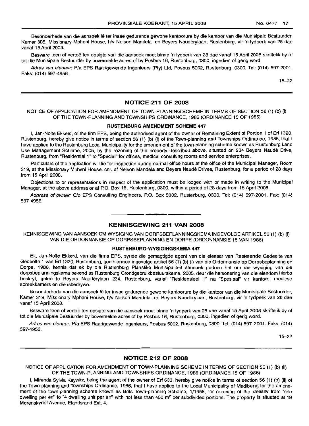Besonderhede van die aansoek lê ter insae gedurende gewone kantoorure by die kantoor van die Munisipale Bestuurder, Kamer 305, Missionary Mpheni House, h/v Nelson Mandela- en Beyers Nauderylaan, Rustenburg, vir 'n tydperk van 28 dae vanaf 15 April 2008.

Besware teen of vertoe ten opsigte van die aansoek moet binne 'n tydperk van 28 dae vanaf 15 April 2008 skriftelik by of tot die Munisipale Bestuurder by bovermelde adres of by Posbus 16, Rustenburg, 0300, ingedien of gerig word.

Adres van eienaar: P/a EPS Raadgewende Ingenieurs (Pty) Ltd, Posbus 5002, Rustenburg, 0300. Tel: (014) 597-2001. Faks: (014) 597-4956.

15-22

#### **NOTICE 211 OF 2008**

NOTICE OF APPLICATION FOR AMENDMENT OF TOWN-PLANNING SCHEME IN TERMS OF SECTION 56 (1) (b) (i) OF THE TOWN-PLANNING AND TOWNSHIPS ORDINANCE, 1986 (ORDINANCE 15 OF 1986)

#### **RUSTENBURG AMENDMENT SCHEME** 447

I, Jan-Nolte Ekkerd, of the firm EPS, being the authorised agent of the owner of Remaining Extent of Portion 1 of Erf 1320, Rustenburg, hereby give notice in terms of section 56 (1) (b) (i) of the Town-planning and Townships Ordinance, 1986, that I have applied to the Rustenburg Local Municipality for the amendment of the town-planning scheme known as Rustenburg Land Use Management Scheme, 2005, by the rezoning of the property described above, situated on 234 Beyers Naude Drive, Rustenburg, from "Residential 1" to "Special" for offices, medical consulting rooms and service enterprises.

Particulars of the application will lie for inspection during normal office hours at the office of the Municipal Manager, Room 319, at the Missionary Mpheni House, em. of Nelson Mandela and Beyers Naude Drives, Rustenburg, for a period of 28 days from 15 April 2008.

Objections to or representations in respect of the application must be lodged with or made in writing to the Municipal Manager, at the above address or at P.O. Box 16, Rustenburg, 0300, within a period of 28 days from 15 April 2008.

Address of owner: C/o EPS Consulting Engineers, P.O. Box 5002, Rustenburg, 0300. Tel: (014) 597-2001. Fax: (014) 597-4956. **.-**

#### **KENNISGEWING 211 VAN 2008**

KENNISGEWING VAN AANSOEK OM WYSIGING VAN DORPSBEPLANNINGSKEMA INGEVOLGE ARTIKEL 56 (1) (b) (i) VAN DIE ORDONNANSIE OP DORPSBEPLANNING EN DORPE (ORDONNANSIE 15 VAN 1986)

#### **RUSTENBURG-WYSIGINGSKEMA 447**

Ek, Jan-Nolte Ekkerd, van die firma EPS, synde die gemagtigde agent van die eienaar van Resterende Gedeelte van Gedeelte 1 van Erf 1320, Rustenburg, gee hiermee ingevolge artikel 56 (1) (b) (i) van die Ordonnansie op Dorpsbeplanning en Dorpe, 1986, kennis dat ek by die Rustenburg Plaaslike Munisipaliteit aansoek gedoen het om die wysiging van die dorpsbeplanningskema bekend as Rustenburg Grondgebruikbestuurskema, 2005, deur die hersonering van die eiendom hierbo beskryf, gelee te Beyers Nauderylaan 234, Rustenburg, vanaf "Residensieel 1" na "Spesiaal" vir kantore, mediese spreekkamers en diensbedrywe.

Besonderhede van die aansoek lê ter insae gedurende gewone kantoorure by die kantoor van die Munisipale Bestuurder, Kamer 319, Missionary Mpheni House, h/V Nelson Mandela- en Beyers Nauderylaan, Rustenburg, vir 'n tydperk van 28 dae vanaf 15 April 2008.

Besware teen of vertoë ten opsigte van die aansoek moet binne 'n tydperk van 28 dae vanaf 15 April 2008 skriftelik by of tot die Munisipale Bestuurder by bovermelde adres of by Posbus 16, Rustenburg, 0300, ingedien of gerig word.

Adres van eienaar: P/a EPS Raadgewende Ingenieurs, Posbus 5002, Rustenburg, 0300, Tel: (014) 597-2001. Faks: (014) 597-4956.

15-22

#### **NOTICE 212 OF 2008**

NOTICE OF APPLICATION FOR AMENDMENT OF TOWN-PLANNING SCHEME IN TERMS OF SECTION 56 (1) (b) (ii) OF THE TOWN-PLANNING AND TOWNSHIPS ORDINANCE, 1986 (ORDINANCE 15 OF 1986)

I, Mirenda Sylvia Kaywitz, being the agent of the owner of Erf 633, hereby give notice in terms of section 56 (1) (b) (ii) of the Town-planning and Townships Ordinance, 1986, that I have applied to the Local Municipality of Madibeng for the amendment of the town-planning scheme known as Brits Town-planning Scheme, 1/1958, for rezoning of the density from "one dwelling per erf' to "4 dwelling unit per erf' with not less than 400 m<sup>2</sup> per subdivided portions. The property is situated at 19 Merenskyrief Avenue, Elandsrand Ext. 4.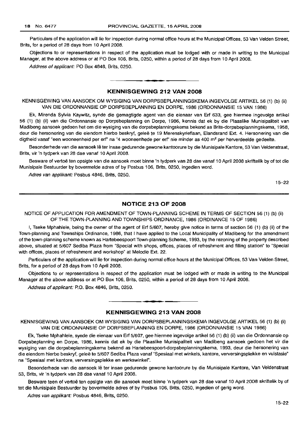Particulars of the application will lie for inspection during normal office hours at the Municipal Offices, 53 Van Velden Street, Brits, for a period of 28 days from 10 April 2008.

Objections to or representations in respect of the application must be lodged with or made in writing to the Municipal Manager, at the above address or at PO Box 106, Brits, 0250, within a period of 28 days from 10 April 2008.

Address of applicant: PO Box 4846, Brits, 0250.

## **KENNISGEWING 212 VAN 2008**

• **• •**

KENNISGEWING VAN AANSOEK OM WYSIGING VAN DORPSBEPLANNINGSKEMA INGEVOLGE ARTIKEL 56 (1) (b) (ii) VAN DIE ORDONNANSIE OP DORPSBEPLANNING EN DORPE, 1986 (ORDONNANSIE 15 VAN 1986)

Ek, Mirenda Sylvia Kaywitz, synde die gemagtigde agent van die eienaar van Erf 633, gee hiermee ingevolge artikel 56 (1) (b) (ii) van die Ordonnansie op Dorpsbeplanning en Dorpe, 1986, kennis dat ek by die Plaaslike Munisipaliteit van Madibeng aansoek gedoen het om die wysiging van die dorpsbeplanningskema bekend as Brits-dorpsbeplanningskema, 1958, deur die hersonering van die eiendom hierbo beskryf, geleë te 19 Merenskyrieflaan, Elandsrand Ext. 4. Hersonering van die digtheid vanaf "een wooneenheid per erf" na "4 wooneenhede per erf" nie minder as 400 m<sup>2</sup> per herverdeelde gedeelte.

Besonderhede van die aansoek lê ter insae gedurende gewone kantoorure by die Munisipale Kantore, 53 Van Veldenstraat, Brits, vir 'n tydperk van 28 dae vanaf 10 April 2008.

Besware of vertoë ten opsigte van die aansoek moet binne 'n tydperk van 28 dae vanaf 10 April 2008 skriftelik by of tot die Munisipale Bestuurder by bovermelde adres of by Posbus 106, Brits, 0250, ingedien word.

Adres van applikant: Posbus 4846, Brits, 0250.

15-22

#### **NOTICE 213 OF 2008**

NOTICE OF APPLICATION FOR AMENDMENT OF TOWN-PLANNING SCHEME IN TERMS OF SECTION 56 (1) (b) (ii) OF THE TOWN-PLANNING AND TOWNSHIPS ORDINANCE, 1986 (ORDINANCE 15 OF 1986)

I, Tseke Mphahlele, being the owner of the agent of Erf 5/607, hereby give notice in terms of section 56 (1) (b) (ii) of the Town-planning and Townships Ordinance, 1986, that I have applied to the Local Municipality of Madibeng for the amendment of the town-planning scheme known as Hartebeespoort Town-planning Scheme, 1993, by the rezoning of the property described above, situated at 5/607 Sediba Plaza from "Special with shops, offices, places of refreshment and filling station" to "Special with offices, places of refreshment and workshop" at Melodie Ext. 22.

Particulars of the application will lie for inspection during normal office hours at the Municipal Offices, 53 Van Velden Street, Brits, for a period of 28 days from 10 April 2008.

Objections to or representations in respect of the application must be lodged with or made in writing to the Municipal Manager at the above address or at PO Box 106, Brits, 0250, within a period of 28 days from 10 April 2008.

Address of applicant: P.O. Box 4846, Brits, 0250.

#### **KENNISGEWING 213 VAN 2008**

**•**

KENNISGEWING VAN AANSOEK OM WYSIGING VAN DORPSBEPLANNINGSKEMA INGEVOLGE ARTIKEL 56 (1) (b) (ii) VAN DIE ORDONNANSIE OP DORPSBEPLANNING EN DORPE, 1986 (ORDONNANSIE 15 VAN 1986)

Ek, Tseke Mphahlele, synde die eienaar van Erf 5/607, gee hiermee ingevolge artikel 56 (1) (b) (ii) van die Ordonnansie op Dorpsbeplanning en Dorpe, 1986, kennis dat ek by die Plaaslike Munisipaliteit van Madibeng aansoek gedoen het vir die wysiging van die dorpsbeplanningskema bekend as Hartebeespoort-dorpsbeplanningskema, 1993, deur die hersonering van die eiendom hierbo beskryf, geleë te 5/607 Sediba Plaza vanaf "Spesiaal met winkels, kantore, verversingsplekke en vulstasie" na "Spesiaal met kantore, verversingsplekke en werkswinkel".

Besonderhede van die aansoek lê ter insae gedurende gewone kantoorure by die Munisipale Kantore, Van Veldenstraat 53, Brits, vir 'n tydperk van 28 dae vanaf 10 April 2008.

Besware teen of vertoë ten opsigte van die aansoek moet binne 'n tydperk van 28 dae vanaf 10 April 2008 skriftelik by of tot die Munisipale Bestuurder by bovermelde adres of by Posbus 106, Brits, 0250, ingedien of gerig word.

Adres van appfikant: Posbus 4846, Brits, 0250.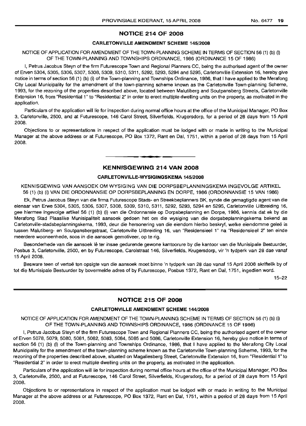## **NOTICE 214 OF 2008**

#### **CARLETONVILLE AMENDMENT SCHEME** 145/2008

## NOTICE OF APPLICATION FOR AMENDMENT OF THE TOWN-PLANNING SCHEME IN TERMS OF SECTION 56 (1) (b) (i) OF THE TOWN-PLANNING AND TOWNSHIPS ORDINANCE, 1986 (ORDINANCE 15 OF 1986)

I, Petrus Jacobus Steyn of the firm Futurescope Town and Regional Planners CC, being the authorised agent of the owner of Erven 5304, 5305, 5306, 5307, 5308, 5309, 5310, 5311, 5292, 5293, 5294 and 5295, Carletonville Extension 16, hereby give notice in terms of section 56 (1) (b) (i) of the Town-planning and Townships Ordinance, 1986, that I have applied to the Merafong City Local Municipality for the amendment of the town-planning scheme known as the Carletonville Town-planning Scheme, 1993, for the rezoning of the properties described above, located between Malutiberg and Soutpansberg Streets, Carletonville Extension 16, from "Residential 1" to "Residential 2" in order to erect multiple dwelling units on the property, as motivated in the application.

Particulars of the application will lie for inspection during normal office hours at the office of the Municipal Manager, PO Box 3, Carletonville, 2500, and at Futurescope, 146 Carol Street, Silverfields, Krugersdorp, for a period of 28 days from 15 April 2008.

Objections to or representations in respect of the application must be lodged with or made in writing to the Municipal Manager at the above address or at Futurescope, PO Box 1372, Rant en Dal, 1751, within a period of 28 days from 15 April 2008.

## **KENNISGEWING 214 VAN 2008**

**•**

#### **CARLETONVILLE-WYSIGINGSKEMA** 145/2008

KENNISGEWING VAN AANSOEK OM WYSIGING VAN DIE DORPSBEPLANNINGSKEMA INGEVOLGE ARTIKEL 56 (1) (b) (i) VAN DIE ORDONNANSIE OP DORPSBEPLANNING EN DORPE, 1986 (ORDONNANSIE 15 VAN 1986)

Ek, Petrus Jacobus Steyn van die firma Futurescope Stads- en Streekbeplanners BK, synde die gemagtigde agent van die eienaar van Erwe 5304, 5305, 5306, 5307, 5308, 5309, 5310, 5311, 5292, 5293, 5294 en 5295, Carletonville Uitbreiding 16, gee hiermee ingevolge artikel 56 (1) (b) (i) van die Ordonnansie op Dorpsbeplanning en Dorpe, 1986, kennis dat ek by die Merafong Stad Plaaslike Munisipaliteit aansoek gedoen het om die wysiging van die dorpsbeplanningskema bekend as Carletonville-stadsbeplanningskema, 1993, deur die hersonering van die eiendom hierbo beskryf, welke eiendomme gelee is tussen Malutiberg- en Soutpansbergstraat, Carletonville Uitbreiding 16, van "Residensieel 1" na "Residensieel 2" ten einde meerdere wooneenhede, soos in die aansoek gemotiveer, op te rig.

Besonderhede van die aansoek lê ter insae gedurende gewone kantoorure by die kantoor van die Munisipale Bestuurder, Posbus 3, Carletonville, 2500, en by Futurescope, Carolstraat 146, Silverfields, Krugersdorp, vir 'n tydperk van 28 dae vanaf 15 April 2008.

Besware teen of vertoë ten opsigte van die aansoek moet binne 'n tydperk van 28 dae vanaf 15 April 2008 skriftelik by of tot die Munisipale Bestuurder by bovermelde adres of by Futurescope, Posbus 1372, Rant en Dal, 1751, ingedien word.

15-22

## **NOTICE 215 OF 2008**

#### **CARLETONVILLE AMENDMENT SCHEME** 144/2008

NOTICE OF APPLICATION FOR AMENDMENT OF THE TOWN-PLANNING SCHEME IN TERMS OF SECTION 56 (1) (b) (i) OF THE TOWN-PLANNING AND TOWNSHIPS ORDINANCE, 1986 (ORDINANCE 15 OF 1986)

I, Petrus Jacobus Steyn of the firm Futurescope Town and Regional Planners CC, being the authorised agent of the owner of Erven 5078, 5079, 5080, 5081, 5082, 5083, 5084, 5085 and 5086, Carletonville Extension 16, hereby give notice in terms of section 56 (1) (b) (i) of the Town-planning and Townships Ordinance, 1986, that I have applied to the Merafong City Local Municipality for the amendment of the town-planning scheme known as the Carletonville Town-planning Scheme, 1993, for the rezoning of the properties described above, situated on Magaliesberg Street, Carletonville Extension 16, from "Residential 1" to "Residential 2" in order to erect multiple dwelling units on the property, as motivated in the application.

Particulars of the application will lie for inspection during normal office hours at the office of the Municipal Manager, PO Box 3, Carletonville, 2500, and at Futurescope, 146 Carol Street, Silverfields, Krugersdorp, for a period of 28 days from 15 April 2008.

Objections to or representations in respect of the application must be lodged with or made in writing to the Municipal Manager at the above address or at Futurescope, PO Box 1372, Rant en Dal, 1751, within a period of 28 days from 15 April 2008.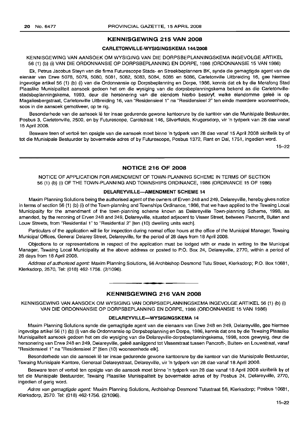#### **KENNISGEWING 215 VAN 2008**

#### **CARLETONVILLE-WYSIGINGSKEMA 144/2008**

KENNISGEWING VAN AANSOEK OM WYSIGING VAN DIE DORPSBEPLANNINGSKEMA INGEVOLGE ARTIKEL 56 (1) (b) (i) VAN DIE ORDONNANSIE OP DORPSBEPLANNING EN DORPE, 1986 (ORDONNANSIE 15 VAN 1986)

Ek, Petrus Jacobus Steyn van die firma Futurescope Stads- en Streekbeplanners BK, synde die gemagtigde agent van die eienaar van Erwe 5078, 5079, 5080, 5081, 5082, 5083, 5084, 5085 en 5086, Carletonville Uitbreiding 16, gee hiermee ingevolge artikel 56 (1) (b) (i) van die Ordonnansie op Dorpsbeplanning en Dorpe, 1986, kennis dat ek by die Merafong Stad Plaaslike Munisipaliteit aansoek gedoen het om die wysiging van die dorpsbeplanningskema bekend as die Carletonvillestadsbeplanningskema, 1993, deur die hersonering van die eiendom hierbo beskryf, welke eiendomme gelee is op Magaliesbergstraat, Carletonville Uitbreiding 16, van "Residensieel 1" na "Residensieel 2" ten einde meerdere wooneenhede, soos in die aansoek gemotiveer, op te rig.

Besonderhede van die aansoek lê ter insae gedurende gewone kantoorure by die kantoor van die Munisipale Bestuurder, Posbus 3, Carletonville, 2500, en by Futurescope, Carolstraat 146, Silverfields, Krugersdorp, vir 'n tydperk van 28 dae vanaf 15 April 2008.

Besware teen of vertoë ten opsigte van die aansoek moet binne 'n tydperk van 28 dae vanaf 15 April 2008 skriftelik by of tot die Munisipale Bestuurder by bovermelde adres of by Futurescope, Posbus 1372, Rant en Dal, 1751, ingedien word.

15-22

## **NOTICE 216 OF 2008**

NOTICE OF APPLICATION FOR AMENDMENT OF TOWN-PLANNING SCHEME IN TERMS OF SECTION 56 (1) (b) (i) OF THE TOWN-PLANNING AND TOWNSHIPS ORDINANCE, 1986 (ORDINANCE 15 OF 1986)

#### **DELAREYVILLE-AMENDMENT SCHEME 14**

Maxim Planning Solutions being the authorised agent ofthe owners of Erven 248 and 249, Delareyville, hereby gives notice in terms of section 56 (1) (b) (i) of the Town-planning and Townships Ordinance, 1986, that we have applied to the Tswaing Local Municipality for the amendment of the town-planning scheme known as Delareyville Town-planning Scheme, 1998, as amended, by the rezoning of Erven 248 and 249, Delareyville, situated adjacent to Visser Street, between Pancroft, Buiten and Louw Streets, from "Residential 1" to "Residential 2" [ten (10) dwelling units each].

Particulars of the application will lie for inspection during normal office hours at the office of the Municipal Manager, Tswaing Municipal Offices, General Delarey Street, Delareyville, for the period of 28 days from 18 April 2008.

Objections to or representations in respect of the application must be lodged with or made in writing to the Municipal Manager, Tswaing Local Municipality at the above address or posted to P.O. Box 24, Delareyville, 2770, within a period of 28 days from 18 April 2008.

Address of authorised agent: Maxim Planning Solutions, 56 Archbishop Desmond Tutu Street, Klerksdorp; P.O. Box 10681, Klerksdorp, 2570, Tel: (018) 462-1756. (2/1096).

#### **- KENNISGEWING <sup>216</sup> VAN <sup>2008</sup>**

KENNISGEWING VAN AANSOEK OM WYSIGING VAN DORPSBEPLANNINGSKEMA INGEVOLGE ARTIKEL 56 (1) (b) (i) VAN DIE ORDONNANSIE OP DORPSBEPLANNING EN DORPE, 1986 (ORDONNANSIE 15 VAN 1986)

#### **DELAREYVILLE-WYSIGINGSKEMA 14**

Maxim Planning Solutions synde die gemagtigde agent van die eienaars van Erwe 248 en 249, Delareyville, gee hiermee ingevolge artikel 56 (1) (b) (i) van die Ordonnansie op Dorpsbeplanning en Dorpe, 1986, kennis dat ons by die Tswaing Plaaslike Munisipaliteit aansoek gedoen het om die wysiging van die Delareyville-dorpsbeplanningskema, 1998, 5005 gewysig, deur die hersonering van Erwe 248 en 249, Delareyville, gelee aanliggend tot Visserstraat tussen Pancroft-, Buiten- en Louwstraat, vanaf "Residensieel 1" na "Residensieel 2" [tien (10) wooneenhede elk].

Besonderhede van die aansoek lê ter insae gedurende gewone kantoorure by die kantoor van die Munisipale Bestuurder, Tswaing Munisipale Kantore, Generaal Delareystraat, Delareyville, vir 'n tydperk van 28 dae vanaf 18 April 2008.

Besware teen of vertoë ten opsigte van die aansoek moet binne 'n tydperk van 28 dae vanaf 18 April 2008 skriftelik by of tot die Munisipale Bestuurder, Tswaing Plaaslike Munisipaliteit by bovermelde adres of by Posbus 24, Delareyville, 2770, ingedien of gerig word.

Adres van gemagtigde agent: Maxim Planning Solutions, Archbishop Desmond Tutustraat 56, Klerksdorp; Posbus 10681, Klerksdorp, 2570. Tel: (018) 462-1756. (2/1096).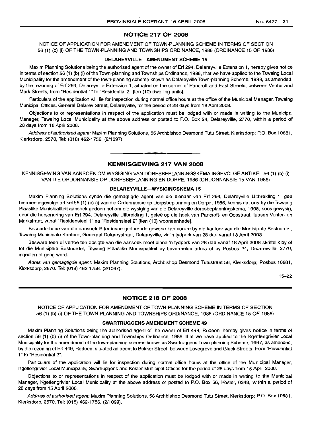## NOTICE 217 OF 2008

NOTICE OF APPLICATION FOR AMENDMENT OF TOWN-PLANNING SCHEME IN TERMS OF SECTION 56 (1) (b) (i) OF THE TOWN-PLANNING AND TOWNSHIPS ORDINANCE, 1986 (ORDINANCE 15 OF 1986)

#### DELAREYVILLE-AMENDMENT SCHEME 15

Maxim Planning Solutions being the authorised agent of the owner of Erf 294, Delareyville Extension 1, hereby gives notice in terms of section 56 (1) (b) (i) of the Town-planning and Townships Ordinance, 1986, that we have applied to the Tswaing Local Municipality for the amendment of the town-planning scheme known as Delareyville Town-planning Scheme, 1998, as amended, by the rezoning of Erf 294, Delareyville Extension 1, situated on the corner of Pancroft and East Streets, between Venter and Mark Streets, from "Residential 1" to "Residential 2" [ten (10) dwelling units].

Particulars of the application will lie for inspection during normal office hours at the office of the Municipal Manager, Tswaing Municipal Offices, General Delarey Street, Delareyville, for the period of 28 days from 18 April 2008.

Objections to or representations in respect of the application must be lodged with or made in writing to the Municipal Manager, Tswaing Local Municipality at the above address or posted to P.O. Box 24, Delareyville, 2770, within a period of 28 days from 18 April 2008.

Address of authorised agent: Maxim Planning Solutions, 56 Archbishop Desmond Tutu Street, Klerksdorp; P.O. Box 10681, Klerksdorp, 2570, Tel: (018) 462-1756. (2/1097).

#### KENNISGEWING 217 VAN 2008

**.-**

KENNISGEWING VAN AANSOEK OM WYSIGING VAN DORPSBEPLANNINGSKEMA INGEVOLGE ARTIKEL 56 (1) (b) (i) VAN DIE ORDONNANSIE OP DORPSBEPLANNING EN DORPE, 1986 (ORDONNANSIE 15 VAN 1986)

#### DELAREYVILLE-WYSIGINGSKEMA 15

Maxim Planning Solutions synde die gemagtigde agent van die eienaar van Erf 294, Delareyville Uitbreiding 1, gee hiermee ingevolge artikel 56 (1) (b) (i) van die Ordonnansie op Dorpsbeplanning en Dorpe, 1986, kennis dat ons by die Tswaing Plaaslike Munisipaliteit aansoek gedoen het om die wysiging van die Delareyville-dorpsbeplanningskema, 1998, soos gewysig, deur die hersonering van Erf 294, Delareyville Uitbreiding 1, geleë op die hoek van Pancroft- en Oosstraat, tussen Venter- en Markstraat, vanaf "Residensieel 1" na "Residensieel 2" [tien (10) wooneenhede].

Besonderhede van die aansoek lê ter insae gedurende gewone kantoorure by die kantoor van die Munisipale Bestuurder, Tswaing Munisipale Kantore, Generaal Delareystraat, Delareyville, vir 'n tydperk van 28 dae vanaf 18 April 2008.

Besware teen of vertoë ten opsigte van die aansoek moet binne 'n tydperk van 28 dae vanaf 18 April 2008 skriftelik by of tot die Munisipale Bestuurder, Tswaing Plaaslike Munisipaliteit by bovermelde adres of by Posbus 24, Delareyville, 2770, ingedien of gerig word.

Adres van gemagtigde agent: Maxim Planning Solutions, Archbishop Desmond Tutustraat 56, Klerksdorp; Posbus 10681, Klerksdorp, 2570. Tel: (018) 462-1756. (2/1097).

15-22

#### NOTICE 218 OF 2008

NOTICE OF APPLICATION FOR AMENDMENT OF TOWN-PLANNING SCHEME IN TERMS OF SECTION 56 (1) (b) (i) OF THE TOWN-PLANNING AND TOWNSHIPS ORDINANCE, 1986 (ORDINANCE 15 OF 1986)

#### SWARTRUGGENS AMENDMENT SCHEME 49

Maxim Planning Solutions being the authorised agent of the owner of Erf 449, Rodeon, hereby gives notice in terms of section 56 (1) (b) (i) of the Town-planning and Townships Ordinance, 1986, that we have applied to the Kgetlengrivier Local Municipalityfor the amendment of the town-planning scheme known as Swartruggens Town-planning Scheme, 1997, as amended, by the rezoning of Erf 449, Rodeon, situated adjacent to Bekker Street, between Lovegrove and Gluck Streets, from "Residential 1" to "Residential 2".

Particulars of the application will lie for inspection during normal office hours at the office of the Municipal Manager, Kgetlengrivier Local Municipality, Swartruggens and Koster Municipal Offices for the period of 28 days from 15 April 2008.

Objections to or representations in respect of the application must be lodged with or made in writing to the Municipal Manager, Kgetlengrivier Local Municipality at the above address or posted to P.O. Box 66, Koster, 0348, within a period of 28 days from 15 April 2008.

Address of authorised agent: Maxim Planning Solutions, 56 Archbishop Desmond Tutu Street, Klerksdorp; P.O. Box 10681, Klerksdorp, 2570. Tel: (018) 462-1756. (2/1099).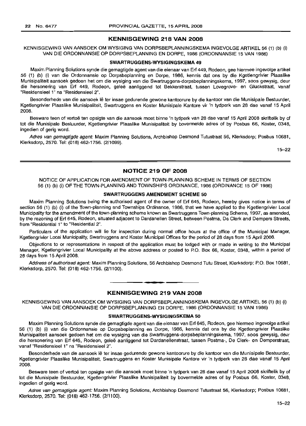#### **KENNISGEWING 218 VAN 2008**

KENNISGEWING VAN AANSOEK OM WYSIGING VAN DORPSBEPLANNINGSKEMA INGEVOLGE ARTIKEL 56 (1) (b) (i) VAN DIE ORDONNANSIE OP DORPSBEPLANNING EN DORPE, 1986 (ORDONNANSIE 15 VAN 1986)

#### **SWARTRUGGENS-WYSIGINGSKEMA 49**

Maxim Planning Solutions synde die gemagtigde agent van die eienaar van Erf 449, Rodeon, gee hiermee ingevolge artikel 56 (1) (b) (i) van die Ordonnansie op Dorpsbeplanning en Dorpe, 1986, kennis dat ons by die Kgetlengrivier Plaaslike Munisipaliteit aansoek gedoen het om die wysiging van die Swartruggens-dorpsbeplanningskema, 1997, soos gewysig, deur die hersonering van Erf 449, Rodeon, gelee aanliggend tot Bekkerstraat, tussen Lovegrove- en Gluckstraat, vanaf "Residensieel 1" na "Residensieel 2".

Besonderhede van die aansoek lê ter insae gedurende gewone kantoorure by die kantoor van die Munisipale Bestuurder, Kgetlengrivier Plaaslike Munisipaliteit, Swartruggens en Koster Munisipale Kantore vir 'n tydperk van 28 dae vanaf 15 April 2008.

Besware teen of vertoë ten opsigte van die aansoek moet binne 'n tydperk van 28 dae vanaf 15 April 2008 skriftelik by of tot die Munisipale Bestuurder, Kgetlengrivier Plaaslike Munisipaliteit by bovermelde adres of by Posbus 66, Koster, 0348, ingedien of gerig word.

Adres van gemagtigde agent: Maxim Planning Solutions, Archbishop Desmond Tutustraat 56, Klerksdorp; Posbus 10681, Klerksdorp, 2570. Tel: (018) 462-1756. (2/1099).

15-22

#### **NOTICE 219 OF 2008**

NOTICE OF APPLICATION FOR AMENDMENT OF TOWN-PLANNING SCHEME IN TERMS OF SECTION 56 (1) (b) (i) OF THE TOWN-PLANNING AND TOWNSHIPS ORDINANCE, 1986 (ORDINANCE 15 OF 1986)

#### **SWARTRUGGENS AMENDMENT SCHEME 50**

Maxim Planning Solutions being the authorised agent of the owner of Erf 645, Rodeon, hereby gives notice in terms of section 56 (1) (b) (i) of the Town-planning and Townships Ordinance, 1986, that we have applied to the Kgetlengrivier Local Municipality for the amendment of the town-planning scheme known as Swartruggens Town-planning Scheme, 1997, as amended, by the rezoning of Erf 645, Rodeon, situated adjacent to Dardanellen Street, between Postma, De Clerk and Dempers Streets, from "Residential 1" to "Residential 2".

Particulars of the application will lie for inspection during normal office hours at the office of the Municipal Manager, Kgetlengrivier Local Municipality, Swartruggens and Koster Municipal Offices for the period of 28 days from 15 April 2008.

Objections to or representations in respect of the application must be lodged with or made in writing to the Municipal Manager, Kgetlengrivier Local Municipality at the above address or posted to P.O. Box 66, Koster, 0348, within a period of 28 days from 15 April 2008.

Address of authorised agent: Maxim Planning Solutions, 56 Archbishop Desmond Tutu Street, Klerksdorp; P.O. Box 10681, Klerksdorp, 2570. Tel: (018) 462-1756. (2/1100).

## **KENNISGEWING 219 VAN 2008**

KENNISGEWING VAN AANSOEK OM WYSIGING VAN DORPSBEPLANNINGSKEMA INGEVOLGE ARTIKEL 56 (1) (b) (i) VAN DIE ORDONNANSIE OP DORPSBEPLANNING EN DORPE, 1986 (ORDONNANSIE 15 VAN 1986)

#### **SWARTRUGGENS-WYSIGINGSKEMA 50**

Maxim Planning Solutions synde die gemagtigde agent van die eienaar van Erf 645, Rodeon, gee hiermee ingevolge artikel 56 (1) (b) (i) van die Ordonnansie op Dorpsbeplanning en Dorpe, 1986, kennis dat ons by die Kgetlengrivier Plaaslike Munisipaliteit aansoek gedoen het om die wysiging van die Swartruggens-dorpsbeplanningskema, 1997, soos gewysig, deur die hersonering van Erf 645, Rodeon, geleë aanliggend tot Dardanellenstraat, tussen Postma-, De Clerk- en Demperstraat, vanaf "Residensieel 1" na "Residensieel 2".

Besonderhede van die aansoek Ie ter insae gedurende gewone kantoorure by die kantoor van die Munisipale Bestuurder, Kgetlengrivier Plaaslike Munisipaliteit, Swartruggens en Koster Munisipale Kantore vir 'n tydperk van 28 dae vanaf 15 April 2008.

Besware teen of vertoë ten opsigte van die aansoek moet binne 'n tydperk van 28 dae vanaf 15 April 2008 skriftelik by of tot die Munisipale Bestuurder, Kgetlengrivier Plaaslike Munisipaliteit by bovermelde adres of by Posbus 66, Koster, 0348, ingedien of gerig word.

Adres van gemagtigde agent: Maxim Planning Solutions, Archbishop Desmond Tutustraat 56, Klerksdorp; Posbus 10681, Klerksdorp, 2570. Tel: (018) 462-1756. (2/1100).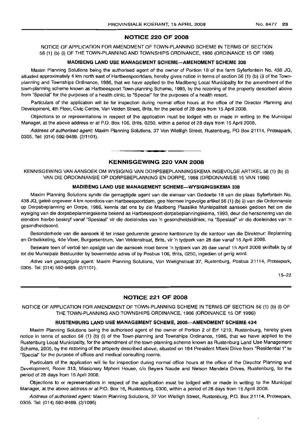## NOTICE 220 OF 2008

NOTICE OF APPLICATION FOR AMENDMENT OF TOWN-PLANNING SCHEME IN TERMS OF SECTION 56 (1) (b) (i) OF THE TOWN-PLANNING AND TOWNSHIPS ORDINANCE, 1986 (ORDINANCE 15 OF 1986)

#### MADIBENG LAND USE MANAGEMENT SCHEME-AMENDMENT SCHEME 338

Maxim Planning Solutions being the authorised agent of the owner of Portion 18 of the farm Syferfontein No. 438 JQ, situated approximately 4 km north east of Hartbeespoortdam, hereby gives notice in terms of section 56 (1) (b) (i) of the Townplanning and Townships Ordinance, 1986, that we have applied to the Madibeng Local Municipality for the amendment of the town-planning scheme known as Hartbeespoort Town-planning Scheme, 1993, by the rezoning of the property described above from "Special" for the purposes of a health clinic, to "Special" for the purposes of a health resort.

Particulars of the application will lie for inspection during normal office hours at the office of the Director Planning and Development, 4th Floor, Civic Centre, Van Velden Street, Brits, for the period of 28 days from 15 April 2008.

Objections to or representations in respect of the application must be lodged with or made in writing to the Municipal Manager, at the above address or at P.O. Box 106, Brits, 0250, within a period of 28 days from 15 April 2008.

Address of authorised agent: Maxim Planning Solutions, 37 Von Wielligh Street, Rustenburg, PO Box 21114, Proteapark, 0305. Tel: (014) 592-9489. (2/1101).

**-.**

#### KENNISGEWING 220 VAN 2008

KENNISGEWING VAN AANSOEK OM WYSIGING VAN DORPSBEPLANNINGSKEMA INGEVOLGE ARTIKEL 56 (1) (b) (i) VAN DIE ORDONNANSIE OP DORPSBEPLANNING EN DORPE, 1986 (ORDONNANSIE 15 VAN 1986)

#### MADIBENG LAND USE MANAGEMENT SCHEME-WYSIGINGSKEMA 338

Maxim Planning Solutions synde die gemagtigde agent van die eienaar van Gedeelte 18 van die plaas Syferfontein No. 438 JQ, gelee ongeveer 4 km noordoos van Hartbeespoortdam, gee hiermee ingevolge artikel 56 (1) (b) (i) van die Ordonnansie op Dorpsbeplanning en Dorpe, 1986, kennis dat ons by die Madibeng Plaaslike Munisipaliteit aansoek gedoen het om die wysiging van die dorpsbeplanningskema bekend as Hartbeespoort-dorpsbeplanningskema, 1993, deur die hersonering van die eiendom hierbo beskryf vanaf "Spesiaal" vir die doeleindes van 'n gesondheidskliniek, na "Spesiaal" vir die doeleindes van 'n gesondheidsoord.

Besonderhede van die aansoek lê ter insae gedurende gewone kantoorure by die kantoor van die Direkteur: Beplanning en Ontwikkeling, 4de Vloer, Burgersentrum, Van Veldenstraat, Brits, vir 'n tydperk van 28 dae vanaf 15 April 2008.

Besware teen of vertoë ten opsigte van die aansoek moet binne 'n tydperk van 28 dae vanaf 15 April 2008 skriftelik by of tot die Munisipale Bestuurder by bovermelde adres of by Posbus 106, Brits, 0250, ingedien of gerig word.

Adres van gemagtigde agent: Maxim Planning Solutions, Von Wielighstraat 37, Rustenburg, Posbus 21114, Proteapark, 0305. Tel: (014) 592-9489. (2/1101).

15-22

## NOTICE 221 OF 2008

NOTICE OF APPLICATION FOR AMENDMENT OF TOWN-PLANNING SCHEME IN TERMS OF SECTION 56 (1) (b) (i) OF THE TOWN-PLANNING AND TOWNSHIPS ORDINANCE, 1986 (ORDINANCE 15 OF 1986)

#### RUSTENBURG LAND USE MANAGEMENT SCHEME, 2005-AMENDMENT SCHEME 434

Maxim Planning Solutions being the authorised agent of the owner of Portion 2 of Erf 1210, Rustenburg, hereby gives notice in terms of section 56 (1) (b) (i) of the Town-planning and Townships Ordinance, 1986, that we have applied to the Rustenburg Local Municipality, for the amendment of the town-planning scheme known as Rustenburg Land Use Management Scheme, 2005, by the rezoning of the property described above, situated on 184 President Mbeki Drive from "Residential 1" to "Special" for the purpose of offices and medical consulting rooms.

Particulars of the application will lie for inspection during normal office hours at the office of the Director Planning and Development, Room 313, Missionary Mpheni House, c/o Beyers Naude and Nelson Mandela Drives, Rustenburg, for the period of 28 days from 15 April 2008.

Objections to or representations in respect of the application must be lodged with or made in writing to the Municipal Manager, at the above address or at P.O. Box 16, Rustenburg, 0300, within a period of 28 days from 15 April 2008.

Address of authorised agent: Maxim Planning Solutions, 37 Von Wielligh Street, Rustenburg, P.O. Box 21114, Proteapark, 0305. Tel: (014) 592-9489. (2/1095)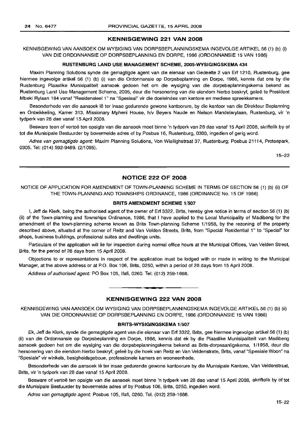### **KENNISGEWING 221 VAN 2008**

KENNISGEWING VAN AANSOEK OM WYSIGING VAN DORPSBEPLANNINGSKEMA INGEVOLGE ARTIKEL 56 (1) (b) (i) VAN DIE ORDONNANSIE OP DORPSBEPLANNING EN DORPE, 1986 (ORDONNANSIE 15 VAN 1986)

#### **RUSTENBURG LAND USE MANAGEMENT SCHEME, 2005-WYSIGINGSKEMA 434**

Maxim Planning Solutions synde die gemagtigde agent van die eienaar van Gedeelte 2 van Erf 1210, Rustenburg, gee hiermee ingevolge artikel 56 (1) (b) (i) van die Ordonnansie op Dorpsbeplanning en Dorpe, 1986, kennis dat ons by die Rustenburg Plaaslike Munisipaliteit aansoek gedoen het om die wysiging van die dorpsbeplanningskema bekend as Rustenburg Land Use Management Scheme, 2005, deur die hersonering van die eiendom hierbo beskryf, geleë te President Mbeki Rylaan 184 vanaf "Residensieel 1" na "Spesiaal" vir die doeleindes van kantore en mediese spreekkamers.

Besonderhede van die aansoek lê ter insae gedurende gewone kantoorure, by die kantoor van die Direkteur Beplanning en Ontwikkeling, Kamer 313, Missionary Mpheni House, h/v Beyers Naude en Nelson Mandelarylaan, Rustenburg, vir 'n tydperk van 28 dae vanaf 15 April 2008.

Besware teen of vertoë ten opsigte van die aansoek moet binne 'n tydperk van 28 dae vanaf 15 April 2008, skriftelik by of tot die Munisipale Bestuurder by bovermelde adres of by Posbus 16, Rustenburg, 0300, ingedien of gerig word.

Adres van gemagtigde agent: Maxim Planning Solutions, Von Wiellighstraat 37, Rustenburg; Posbus 21114, Proteapark, 0305. Tel: (014) 592-9489. (2/1095).

15-22

## **NOTICE 222 OF 2008**

NOTICE OF APPLICATION FOR AMENDMENT OF TOWN-PLANNING SCHEME IN TERMS OF SECTION 56 (1) (b) (ii) OF THE TOWN-PLANNING AND TOWNSHIPS ORDINANCE, 1986 (ORDINANCE No. 15 OF 1986)

#### **BRITS AMENDMENT SCHEME** 1/507

I, Jeff de Klerk, being the authorised agent of the owner of Erf 3322, Brits, hereby give notice in terms of section 56 (1) (b) (ii) of the Town-planning and Townships Ordinance, 1986, that I have applied to the Local Municipality of Madibeng for the amendment of the town-planning scheme known as Brits Town-planning Scheme 1/1958, by the rezoning of the property described above, situated at the corner of Reitz and Van Velden Streets, Brits, from "Special Residential 1" to "Special" for shops, business buildings, professional suites and dwellings units.

Particulars of the application will lie for inspection during normal office hours at the Municipal Offices, Van Velden Street, Brits, for the period of 28 days from 15 April 2008.

Objections to or representations in respect of the application must be lodged with or made in writing to the Municipal Manager, at the above address or at P.O. Box 106, Brits, 0250, within a period of 28 days from 15 April 2008.

Address of authorised agent: PO Box 105, Ifafi, 0260. Tel: (012) 259-1688.

#### **KENNISGEWING 222 VAN 2008**

**•**

KENNISGEWING VAN AANSOEK OM WYSIGING VAN DORPSBEPLANNINGSKEMA INGEVOLGE ARTIKEL 56 (1) (b) (ii) VAN DIE ORDONNANSIE OP DORPSBEPLANNING EN DORPE, 1986 (ORDONNANSIE 15 VAN 1986)

#### **BRITS-WYSIGINGSKEMA** 1/507

Ek, Jeff de Klerk, synde die gemagtigde agent van die eienaar van Erf 3322, Brits, gee hiermee ingevolge artikel 56 (1) (b) (ii) van die Ordonnansie op Dorpsbeplanning en Dorpe, 1986, kennis dat ek by die Plaaslike Munisipaliteit van Madibeng aansoek gedoen het om die wysiging van die dorpsbeplanningskema bekend as Brits-dorpsaanligskema, 1/1958, deur die hersonering van die eiendom hierbo beskryf, geleë by die hoek van Reitz en Van Veldenstrate, Brits, vanaf "Spesiale Woon" na "Spesiale" vir winkels, besigheidsgeboue, professionele kamers en wooneenhede.

Besonderhede van die aansoek lê ter insae gedurende gewone kantoorure by die Munisipale Kantore, Van Veldenstraat, Brits, vir 'n tydperk van 28 dae vanaf 15 April 2008.

Besware of vertoë ten opsigte van die aansoek moet binne 'n tydperk van 28 dae vanaf 15 April 2008, skriftelik by of tot die Munisipale Bestuurder by bovermelde adres of by Posbus 106, Brits, 0250, ingedien word.

Adres van gemagtigde agent: Posbus 105, Ifafi, 0260. Tel. (012) 259-1688.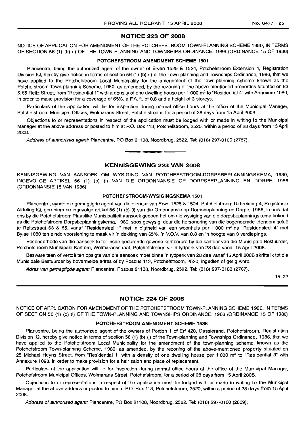## NOTICE 223 OF 2008

NOTICE OF APPLICATION FOR AMENDMENT OF THE POTCHEFSTROOM TOWN-PLANNING SCHEME 1980, IN TERMS OF SECTION 56 (1) (b) (i) OF THE TOWN-PLANNING AND TOWNSHIPS ORDINANCE, 1986 (ORDINANCE 15 OF 1986)

#### POTCHEFSTROOM AMENDMENT SCHEME 1501

Plancentre, being the authorized agent of the owner of Erven 1525 & 1524, Potchefstroom Extension 4, Registration Division IQ, hereby give notice in terms of section 56 (1) (b) (i) of the Town-planning and Townships Ordinance, 1986, that we have applied to the Potchefstroom Local Municipality for the amendment of the town-planning scheme known as the Potchefstroom Town-planning Scheme; 1980, as amended, by the rezoning of the above-mentioned properties situated on 63 & 65 Reitz Street, from "Residential 1" with a density of one dwelling house per 1 000 m<sup>2</sup> to "Residential 4" with Annexure 1080, in order to make provision for a coverage of 65%, a F.A.R. of 0,8 and a height of 3 storeys.

Particulars of the application will lie for inspection during normal office hours at the office of the Municipal Manager, Potchefstroom Municipal Offices, Wolmarans Street, Potchefstroom, for a period of 28 days from 15 April 2008.

Objections to or representations in respect of the application must be lodged with or made in writing to the Municipal Manager at the above address or posted to him at P.O. Box 113, Potchefstroom, 2520, within a period of 28 days from 15 April 2008.

Address of authorised agent: Plancentre, PO Box 21108, Noordbrug, 2522. Tel: (018) 297-0100 (2767).

## KENNISGEWING 223 VAN 2008

I **• I**

KENNISGEWING VAN AANSOEK OM WYSIGING VAN POTCHEFSTROOM-DORPSBEPLANNINGSKEMA, 1980, INGEVOLGE ARTIKEL 56 (1) (b) (i) VAN DIE ORDONNANSIE OP DORPSBEPLANNING EN DORPE, 1986 (ORDONNANSIE 15 VAN 1986)

## POTCHEFSTROOM-WYSIGINGSKEMA 1501

Plancentre, synde die gemagtigde agent van die eienaar van Erwe 1525 & 1524, Potchefstroom Uitbreiding 4, Registrasie Afdeling 10, gee hiermee ingevolge artikel 56 (1) (b) (i) van die Ordonnansie op Dorpsbeplanning en Dorpe, 1986, kennis dat ons by die Potchefstroom Plaaslike Munisipaliteit aansoek gedoen het om die wysiging van die dorpsbeplanningskema bekend as die Potchefstroom Dorpsbeplanningskema, 1980, soos gewysig, deur die hersonering van die bogenoemde eiendom gelee te Reitzstraat 63 & 65, vanaf "Residensieel 1" met 'n digtheid van een woonhuis per 1 000 m<sup>2</sup> na "Residensieel 4" met Bylae 1080 ten einde voorsiening te maak vir 'n dekking van 65%, 'n V.O.v. van 0,8 en 'n hoogte van 3 verdiepings.

Besonderhede van die aansoek Ie ter insae gedurende gewone kantoorure by die kantoor van die Munisipale Bestuurder, Potchefstroom Munisipale Kantore, Wolmaransstraat, Potchefstroom, vir 'n tydperk van 28 dae vanaf 15 April 2008.

Besware teen of vertoë ten opsigte van die aansoek moet binne 'n tydperk van 28 dae vanaf 15 April 2008 skriftelik tot die Munisipale Bestuurder by bovermelde adres of by Posbus 113, Potchefstroom, 2520, ingedien of gerig word.

Adres van gemagtigde agent: Plancentre, Posbus 21108, Noordbrug, 2522. Tel: (018) 297-0100 (2767).

15-22

## NO"nCE 224 OF 2008

NOTICE OF APPLICATION FOR AMENDMENT OF THE POTCHEFSTROOM TOWN-PLANNING SCHEME 1980, IN TERMS OF SECTION 56 (1) (b) (i) OF THE TOWN-PLANNING AND TOWNSHIPS ORDINANCE, 1986 (ORDINANCE 15 OF 1986)

#### POTCHEFSTROOM AMENDMENT SCHEME 1538

Plancentre, being the authorized agent of the owners of Portion 1 of Erf 420, Dassierand, Potchefstroom, Registration Division 10, hereby give notice in terms of section 56 (1) (b) (i) of the Town-planning and Townships Ordinance, 1986, that we have applied to the Potchefstroom Local Municipality for the amendment of the town-planning scheme known as the Potchefstroom Town-planning Scheme, 1980, as amended, by the rezoning of the above-mentioned property situated on 25 Michael Heyns Street, from "Residential 1" with a density of one dwelling house per 1 000 m<sup>2</sup> to "Residential 3" with Annexure 1098, in order to make provision for a hair salon and place of replacement.

Particulars of the application will lie for inspection during normal office hours at the office of the Municipal Manager, Potchefstroom Municipal Offices, Wolmarans Street, Potchefstroom, for a period of 28 days from 15 April 2008.

Objections to or representations in respect of the application must be lodged with or made in writing to the Municipal Manager at the above address or posted to him at P.O. Box 113, Potchefstroom, 2520, within a period of 28 days from 15 April 2008.

Address of authorised agent: Plancentre, PO Box 21108, Noordbrug, 2522. Tel: (018) 297-0100 (2809).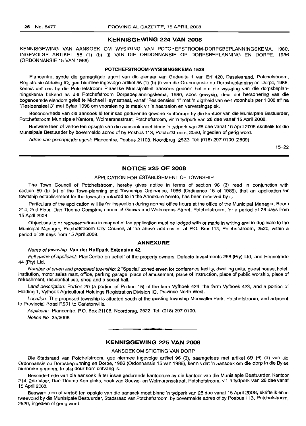#### KENNISGEWING 224 VAN 2008

KENNISGEWING VAN AANSOEK OM WYSIGING VAN POTCHEFSTROOM-DORPSBEPLANNINGSKEMA, 1980, INGEVOLGE ARTIKEL 56 (1) (b) (i) VAN DIE ORDONNANSIE OP DORPSBEPLANNING EN DORPE, 1986 (ORDONNANSIE 15 VAN 1986)

#### POTCHEFSTROOM-WYSIGINGSKEMA 1538

Plancentre, synde die gemagtigde agent van die eienaar van Gedeelte 1 van Erf 420, Dassiesrand, Potchefstroom, Registrasie Afdeling 10, gee hiermee ingevolge artikel 56 (1) (b) (i) van die Ordonnansie op Dorpsbeplanning en Dorpe, 1986, kennis dat ons by die Potchefstroom Plaaslike Munisipaliteit aansoek gedoen het om die wysiging van die dorpsbeplanningskema bekend as die Potchefstroom Dorpsbeplanningskema, 1980, soos gewysig, deur die hersonering van die bogenoemde eiendom geleë te Michael Heynsstraat, vanaf "Residensieel 1" met 'n digtheid van een woonhuis per 1 000 m<sup>2</sup> na "Residensieel 3" met Bylae 1098 om voorsiening te maak vir 'n haarsalon en verversingsplek.

Besonderhede van die aansoek lê ter insae gedurende gewone kantoorure by die kantoor van die Munisipale Bestuurder, Potchefstroom Munisipale Kantore, Wolmaransstraat, Potchefstroom, vir 'n tydperk van 28 dae vanaf 15 April 2008.

Besware teen of vertoë ten opsigte van die aansoek moet binne 'n tydperk van 28 dae vanaf 15 April 2008 skriftelik tot die Munisipale Bestuurder by bovermelde adres of by Posbus 113, Potchefstroom, 2520, ingedien of gerig word.

Adres van gemagtigde agent: Plancentre, Posbus 21108, Noordbrug, 2522. Tel: (018) 297-0100 (2809).

15-22

#### NOTICE 225 OF 2008

#### APPLICATION FOR ESTABLISHMENT OF TOWNSHIP

The Town Council of Potchefstroom, hereby gives notice in terms of section 96 (3) read in conjunction with section 69 (b) (a) of the Town-planning and Townships Ordinance, 1986 (Ordinance 15 of 1986), that an application for township establishment for the township referred to in the Annexure hereto, has been received by it.

Particulars of the application will lie for inspection during normal office hours at the office of the Municipal Manager, Room 214, 2nd Floor, Dan Tloome Complex, corner of Gouws and Wolmarans Street, Potchefstroom, for a period of 28 days from 15 April 2008.

Objections to or representations in respect of the application must be lodged with or made in writing and in duplicate to the Municipal Manager, Potchefstroom City Council, at the above address or at P.O. Box 113, Potchefstroom, 2520, within a period of 28 days from 15 April 2008.

#### ANNEXURE

#### Name of township: Van der Hoffpark Extension 42.

Full name of applicant: PlanCentre on behalf of the property owners, Defacto Investments 288 (Pty) Ltd, and Hencetrade 44 (pty) Ltd.

Number of erven and proposed township: 2 "Special" zoned erven for conference facility, dwelling units, quest house, hotel, institution, motor sales mart, office, parking garage, place of amusement, place of instruction, place of public worship, place of refreshment, residential use, shop and a social hall.

Land description: Portion 20 (a portion of Portion 15) of the farm Vyfhoek 424, the farm Vyfhoek 423, and a portion of Holding 1, Vyfhoek Agricultural Holdings Registration Division 10, Province North West.

Location: The proposed township is situated south of the existing township Mooivallei Park, Potchefstroom, and adjacent to Provincial Road R501 to Carletonville.

Applicant: Plancentre, P.O. Box 21108, Noordbrug, 2522. Tel: (018) 297-0100.

Notice No. 35/2008.

## KENNISGEWING 225 VAN 2008

.**- .**

#### AANSOEK OM STIGTING VAN DORP

Die Stadsraad van Potchefstroom, gee hiermee ingevolge artikel 96 (3), saamgelees met artikel 69 (6) (a) van die Ordonnansie op Dorpsbeplanning en Dorpe, 1986 (Ordonnansie 15 van 1986), kennis dat 'n aansoek om die dorp in die Bylae hieronder genoem, te stig deur hom ontvang is.

Besonderhede van die aansoek lê ter insae gedurende kantoorure by die kantoor van die Munisiaple Bestuurder, Kantoor 214, 2de Vloer, Dan Tloome Kompleks, hoek van Gouws- en Wolmaransstraat, Potchefstroom, vir 'n tydperk van 28 dae vanaf 15 April 2008.

Besware teen of vertoë ten opsigte van die aansoek moet binne 'n tydperk van 28 dae vanaf 15 April 2008, skriftelik en in tweevoud by die Munisipale Bestuurder, Stadsraad van Potchefstroom, by bovermelde adres of by Posbus 113, Potchefstroom, 2520, ingedien of gerig word.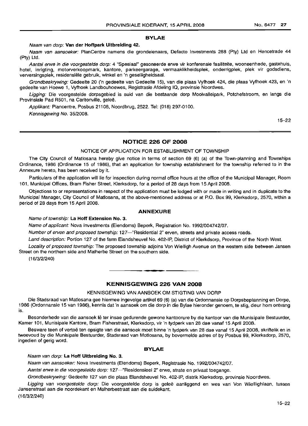## BYLAE

#### Naam van dorp: Van der Hoffpark Uitbreiding 42.

Naam van aansoeker: PlanCentre namens die grondeienaars, Defacto Investments 288 (Pty) Ltd en Hencetrade 44 (Pty) Ltd.

Aantal erwe in die voorgestelde dorp: 4 "Spesiaal" gesoneerde erwe vir konferensie fasiliteite, wooneenhede, gastehuis, hotel, inrigting, motorverkoopmark, kantore, parkeergarage, vermaaklikheidsplek, onderrigplek, plek vir godsdiens, verversingsplek, residensiele gebruik, winkel en 'n geselligheidsaal.

Grondbeskrywing: Gedeelte 20 ('n gedeelte van Gedeelte 15), van die plaas Vyfhoek 424, die plaas Vyfhoek 423, en 'n gedeelte van Hoewe 1, Vyfhoek Landbouhoewes, Registrasie Afdeling IQ, provinsie Noordwes.

Ligging: Die voorgestelde dorpsgebied is suid van die bestaande dorp Mooivalleipark, Potchefstroom, en langs die Provinsiale Pad R501, na Carltonville, geleë.

Applikant: Plancentre, Posbus 21108, Noordbrug, 2522. Tel: (018) 297-0100. Kennisgewing No. 35/2008.

15-22

## NOTICE 226 OF 2008

NOTICE OF APPLICATION FOR ESTABLISHMENT OF TOWNSHIP

The City Council of Matlosana hereby give notice in terms of section 69 (6) (a) of the Town-planning and Townships Ordinance, 1986 (Ordinance 15 of 1986), that an application for township establishment for the township referred to in the Annexure hereto, has been received by it.

Particulars of the application will lie for inspection during normal office hours at the office of the Municipal Manager, Room 101, Municipal Offices, Bram Fisher Street, Klerksdorp, for a period of 28 days from 15 April 2008.

Objections to or representations in respect of the application must be lodged with or made in writing and in duplicate to the Municipal Manager, City Council of Matlosana, at the above-mentioned address or at P.O. Box 99, Klerksdorp, 2570, within a period of 28 days from 15 April 2008.

#### ANNEXURE

#### Name of township: La Hoff Extension No.3.

Name of applicant: Nova Investments (Eiendoms) Beperk, Registration No. 1992/004742/07.

Number of erven and proposed township: 127-"Residential 2" erven, streets and private access roads.

Land description: Portion 127 of the farm Elandsheuvel No. 402-IP, District of Klerkdsorp, Province of the North West.

Locality of proposed township: The proposed township adjoins Von Wielligh Avenue on the western side between Jansen Street on the northern side and Malherbe Street on the southern side.

(16/3/2/240)

## KENNISGEWING 226 VAN 2008

**I •**

## KENNISGEWING VAN AANSOEK OM STIGTING VAN DORP

Die Stadsraad van Matlosana gee hiermee ingevolge artikel 69 (6) (a) van die Ordonnansie op Dorpsbeplanning en Dorpe, 1986 (Ordonnansie 15 van 1986), kennis dat 'n aansoek om die dorp in die Bylae hieronder genoem, te stig, deur hom ontvang is.

Besonderhede van die aansoek lê ter insae gedurende gewone kantoorure by die kantoor van die Munisipale Bestuurder, Kamer 101, Munisipale Kantore, Bram Fisherstraat, Klerksdorp, vir 'n tydperk van 28 dae vanaf 15 April 2008.

Besware teen of vertoë ten opsigte van die aansoek moet binne 'n tydperk van 28 dae vanaf 15 April 2008, skriftelik en in tweevoud by die Munisipale Bestuurder, Stadsraad van Motlosana, by bovermelde adres of by Posbus 99, Klerksdorp, 2570, ingedien of gerig word.

#### BYLAE

#### Naam van dorp: La Hoff Uitbreiding No.3.

Naam van aansoeker: Nova Investments (Eiendoms) Beperk, Registrasie No. 1992/004742/07.

Aantal erwe in die voorgestelde dorp: 127-"Residensieel 2" erwe, strate en privaat toegange.

Grondbeskrywing: Gedeelte 127 van die plaas Elandsheuvel No. 402-IP, distrik Klerksdorp, provinsie Noordwes.

Ligging van voorgestelde dorp: Die voorgestelde dorp is geleë aanliggend en wes van Von Wiellighlaan, tussen Jansenstraat aan die noordekant en Malherbestraat aan die suidekant.

(16/3/2/240)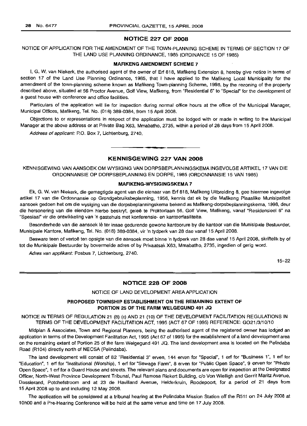#### NOTICE 227 OF 2008

NOTICE OF APPLICATION FOR THE AMENDMENT OF THE TOWN-PLANNING SCHEME IN TERMS OF SECTION 17 OF THE LAND USE PLANNING ORDINANCE, 1985 (ORDINANCE 15 OF 1985)

#### MAFIKENG AMENDMENT SCHEME 7

I, G. W. van Niekerk, the authorised agent of the owner of Erf 818, Mafikeng Extension 8, hereby give notice in terms of section 17 of the Land Use Planning Ordinance, 1985, that I have applied to the Mafikeng Local Municipality for the amendment of the town-planning scheme known as Mafikeng Town-planning Scheme, 1998, by the rezoning of the property described above, situated at 56 Proctor Avenue, Golf View, Mafikeng, from "Residential 6" to "Special" for the development of a guest house with conference and office facilities.

Particulars of the application will lie for inspection during normal office hours at the office of the Municipal Manager, Municipal Offices, Mafikeng, Tel. No. (018) 389-0384, from 15 April 2008.

Objections to or representations in respect of the application must be lodqed with or made in writing to the Municipal Manager at the above address or at Private Bag X63, Mmabatho, 2735, within a period of 28 days from 15 April 2008.

Address of applicant: P.O. Box 7, Lichtenburg, 2740.

## KENNISGEWING 227 VAN 2008

• **• •**

KENNISGEWING VAN AANSOEK OM WYSIGING VAN DORPSBEPLANNINGSKEMA INGEVOLGE ARTIKEL 17 VAN DIE ORDONNANSIE OP DORPSBEPLANNING EN DORPE, 1985 (ORDONNANSIE 15 VAN 1985)

#### MAFIKENG·WYSIGINGSKEMA 7

Ek, G. W. van Niekerk, die gemagtigde agent van die eienaar van Erf 818, Mafikeng Uitbreiding 8, gee hiermee ingevolge artikel 17 van die Ordonnansie op Grondgebruiksbeplanning, 1956, kennis dat ek by die Mafikeng Plaaslike Munisipaliteit aansoek gedoen het om die wysiging van die dorpsbeplanningskema bekend as Mafikeng-dorpsbeplanningskema, 1998, deur die hersonering van die eiendom hierbo beskryf, gelee te Proktorlaan 56, Golf View, Mafikeng, vanaf "Residensieel 6" na "Spesiaal" vir die ontwikkeling van 'n gastehuis met konferensie- en kantoorfasiliteite.

Besonderhede van die aansoek lê ter insae gedurende gewone kantoorure by die kantoor van die Munisipale Bestuurder, Munisipale Kantore, Mafikeng, Tel. No. (018) 389-0384, vir 'n tydperk van 28 dae vanaf 15 April 2008.

Besware teen of vertoë ten opsigte van die aansoek moet binne 'n tydperk van 28 dae vanaf 15 April 2008, skriftelik by of tot die Munisipale Bestuurder by bovermelde adres of by Privaatsak X63, Mmabatho, 2735, ingedien of gerig word.

Adres van applikant: Posbus 7, Lichtenburg, 2740.

15-22

#### NOTICE 228 OF 2008

NOTICE OF LAND DEVELOPMENT AREA APPLICATION

#### PROPOSED TOWNSHIP ESTABLISHMENT ON THE REMAINING EXTENT OF PORTION 25 OF THE FARM WELGEGUND 491 JQ

NOTICE IN TERMS OF REGULATION 21 (8) (c) AND 21 (10) OF THE DEVELOPMENT FACILITATION REGULATIONS IN TERMS OF THE DEVELOPMENT FACILITATION ACT, 1995 (ACT 67 OF 1995) REFERENCE: G021/3/10/10

Midplan & Associates, Town and Regional Planners, being the authorised agent of the registered owner has lodged an application in terms of the Development Facilitation Act, 1995 (Act 67 of 1995) for the establishment of a land development area on the remaining extent of Portion 25 of the farm Welgegund 491 JQ. The land development area is located on the Pelindaba Road (R104) directly north of NECSA (Pelindaba).

The land development will consist of 82 "Residential 3" erven, 144 erven for "Special", 1 erf for "Business 1", 1 erf for "Education", 1 erf for "Institutional (Worship), 1 erf for "Sewage Farm", 8 erven for "Public Open Space", 9 erven for "Private Open Space", 1 erf for a Guard House and streets. The relevant plans and documents are open for inspection at the Designated Officer, North-West Province Development Tribunal, Paul Ramosa Riekert Building, c/o Von Wielligh and Gerrit Maritz Avenue, Dassierand, Potchefstroom and at 23 de Havilland Avenue, Helderkruin, Roodepoort, for a period of 21 days from 15 April 2008 up to and including 12 May 2008.

The application will be considered at a tribunal hearing at the Pelindaba Mission Station off the R511 on 24 July 2008 at 10hOO and a Pre-Hearing Conference will be held at the same venue and time on 17 July 2008.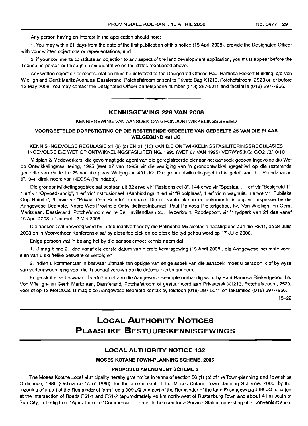Any person having an interest in the application should note:

1. You may within 21 days from the date of the first publication of this notice (15 April 2008), provide the Designated Officer with your written objections or representations; and

2. if your comments constitute an objection to any aspect of the land development application, you must appear before the Tribunal in person or through a representative on the dates mentioned above.

Any written objection or representation must be delivered to the Designated Officer, Paul Ramosa Riekert Building, c/o Von Wielligh and Gerrit Maritz Avenues, Dassierand, Potchefstroom or sent to Private Bag X1213, Potchefstroom, 2520 on or before 12 May 2008. You may contact the Designated Officer on telephone number (018) 297-5011 and facsimile (018) 297-7956.

#### **KENNISGEWING 228 VAN 2008**

**•**

KENNISGEWING VAN AANSOEK OM GRONDONTWIKKELINGSGEBIED

## **VOORGESTELDE DORPSTIGTING OP DIE RESTERENDE GEDEELTE VAN GEDEELTE 25 VAN DIE PLAAS WELGEGUND 491 JQ**

KENNIS INGEVOLGE REGULASIE 21 (8) (c) EN 21 (10) VAN DIE ONTWIKKELlNGSFASILITERINGSREGULASIES INGEVOLGE DIE WET OP ONTWIKKELlNGSFASILITERING, 1995 (WET 67 VAN 1995) VERWYSING: G021/3/10/10

Midplan & Medewerkers, die gevolmagtigde agent van die geregistreerde eienaar het aansoek gedoen ingevolge die Wet op Ontwikkelingsfasilitering, 1995 (Wet 67 van 1995) vir die vestiging van 'n grondontwikkelingsgebied op die resterende gedeelte van Gedeelte 25 van die plaas Welgegund 491 JQ. Die grondontwikkelingsgebied is geleë aan die Pelindabapad (R104), direk noord van NECSA (Pelindaba).

Die grondontwikkelingsgebied sal bestaan uit 82 erwe vir "Residensieel 3", 144 erwe vir "Spesiaal", 1 erf vir "Besigheid 1", 1 erf vir "Opvoedkundig", 1 erf vir "Institusioneel" (Aanbidding), 1 erf vir "Rioolplaas", 1 erf vir 'n waghuis, 8 erwe vir "Publieke Oop Ruimte", 9 erwe vir "Privaat Oop Ruimte" en strate. Die relevante planne en dokumente is oop vir inspeksie by die Aangewese Beampte, Noord-Wes Provinsie Ontwikkelingstribunaal, Paul Ramosa Riekertgebou, h/V Von Wielligh- en Gerrit Maritzlaan, Dassierand, Potchefstroom en te De Havillandlaan 23, Helderkruin, Roodepoort, vir 'n tydperk van 21 dae vanaf 15 April 2008 tot en met 12 Mei 2008.

Die aansoek sal oorweeg word by 'n tribunaalverhoor by die Pelindaba Missiestasie naasliggend aan die R511, op 24 Julie 2008 en 'n Voorverhoor Konferensie sal by dieselfde plek en op dieselfde tyd gehou word op 17 Julie 2008.

Enige persoon wat 'n belang het by die aansoek moet kennis neem dat:

1. U mag binne 21 dae vanaf die eerste datum van hierdie kennisgewing (15 April 2008), die Aangewese beampte voorsien van u skriftelike besware of vertoë; en

2. indien u kommentaar 'n beswaar uitmaak ten opsigte van enige aspek van die aansoek, moet u persoonlik of by wyse van verteenwoordiging voor die Tribunaal verskyn op die datums hierbo genoem.

Enige skriftelike beswaar of vertoë moet aan die Aangewese Beampte oorhandig word by Paul Ramosa Riekertgebou, h/v Von Wielligh- en Gerrit Maritzlaan, Dassierand, Potchefstroom of gestuur word aan Privaatsak X1213, Potchefstroom, 2520, voor of op 12 Mei 2008. U mag dioe Aangewese Beampte kontak by telefoon (018) 297-5011 en faksimilee (018) 297-7956.

15-22

## **LOCAL AUTHORITY NOTICES PLAASLIKE BESTUURSKENNISGEWINGS**

## **LOCAL AUTHORITY NOTICE 132**

## **MOSES KOTANE TOWN-PLANNING SCHEME, 2005**

#### **PROPOSED AMENDMENT SCHEME 5**

The Moses Kotane Local Municipality hereby give notice in terms of section 56 (1) (b) of the Town-planning and Townships Ordinance, 1986 (Ordinance 15 of 1986), for the amendment of the Moses Kotane Town-planning Scheme, 2005, by the rezoning of a part of the Remainder of farm Ledig 909-JQ and part of the Remainder of the farm Frischgewaagd 96-JQ, situated at the intersection of Roads P51-1 and P51-2 (approximately 40 km north-west of Rustenburg Town and about 4 km south of Sun City, in Ledig from "Agriculture" to "Commercial" in order to be used for a Service Station consisting of a convenient shop.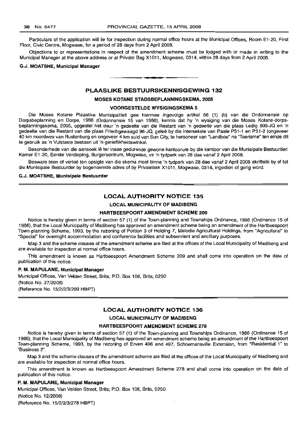Particulars of the application will lie for inspection during normal office hours at the Municipal Offices, Room E1-20, First Floor, Civic Centre, Mogwase, for a period of 28 days from 2 April 2008.

Objections to or representations in respect of the amendment scheme must be lodged with or made in writing to the Municipal Manager at the above address or at Private Bag X1011, Mogwase, 0314, within 28 days from 2 April 2008.

#### G.J. **MOATSHE, Municipal Manager**

## **PLAASLIKE BESTUURSKENNISGEWING 132**

.**-.**

#### **MOSES KOTANE STADSBEPLANNINGSKEMA, 2005**

#### **VOORGESTELDE WYSIGINGSKEMA 5**

Die Moses Kotane Plaaslike Munisipaliteit gee hiermee ingevolge artikel 56 (1) (b) van die Ordonnansie op Dorpsbeplanning en Dorpe, 1986 (Ordonnansie 15 van 1986), kennis dat hy 'n wysiging van die Moses Kotane-dorpsbeplanningskema, 2005, opgestel het deur 'n gedeelte van die Restant van 'n gedeelte van die plaas Ledig 909-JQ en 'n gedeelte van die Restant van die plaas Frischgewaagd 96-JQ, gelee by die interseksie van Paaie P51-1 en P51-2 (ongeveer 40 km noordwes van Rustenburg en ongeveer 4 km suid van Sun City, te hersoneer van "Landbou" na "Toerisme" ten einde dit te gebruik as 'n Vulstasie bestaan uit 'n gerieflikheidswinkel.

Besonderhede van die aansoek lê ter insae gedurende gewone kantoorure by die kantoor van die Munisipale Bestuurder: Kamer E1-20, Eerste Verdieping, Burgersentrum, Mogwase, vir 'n tydperk van 28 dae vanaf 2 April 2008.

Besware teen of vertoe ten opsigte van die skema moet binne 'n tydperk van 28 dae vanaf 2 April 2008 skriftelik by of tot die Munisipale Bestuurder by bogenoemde adres of by Privaatsak X1011, Mogwase, 0314, ingedien of gerig word.

#### G.J. **MOATSHE, Munisipale Bestuurder**

#### **LOCAL AUTHORITY NOTICE 135**

#### **LOCAL MUNICIPALITY OF MADIBENG**

#### **HARTBEESPOORT AMENDMENT SCHEME 209**

Notice is hereby given in terms of section 57 (1) of the Town-planning and Townships Ordinance, 1986 (Ordinance 15 of 1986), that the Local Municipality of Madibeng has approved an amendment scheme being an amendment of the Hartbeespoort Town-planning Scheme, 1993, by the rezoning of Portion 3 of Holding 7, Melodie Agricultural Holdings, from "Agricultural" to "Special" for overnight accommodation and conference facilities and subservient and ancillary purposes.

Map 3 and the scheme clauses of the amendment scheme are filed at the offices of the Local Municipality of Madibeng and are available for inspection at normal office hours.

This amendment is known as Hartbeespoort Amendment Scheme 209 and shall come into operation on the date of publication of this notice.

#### **P. M. MAPULANE, Municipal Manager**

Municipal Offices, Van Velden Street, Brits; P.O. Box 106, Brits, 0250 (Notice No. 27/2008) (Reference No. 15/2/2/3/209 HBPT)

## **LOCAL AUTHORITY NOTICE 136**

**LOCAL MUNICIPALITY OF MADIBENG**

#### **HARTBEESPOORT AMENDMENT SCHEME 278**

Notice is hereby given in terms of section 57 (1) of the Town-planning and Townships Ordinance, 1986 (Ordinance 15 of 1986), that the Local Municipality of Madibeng has approved an amendment scheme being an amendment of the Hartbeespoort Town-planning Scheme, 1993, by the rezoning of Erven 496 and 497, Schoemansville Extension, from "Residential 1" to "Business 2".

Map 3 and the scheme clauses of the amendment scheme are filed at the offices of the Local Municipality of Madibeng and are available for inspection at normal office hours.

This amendment is known as Hartbeespoort Amendment Scheme 278 and shall come into operation on the date of publication of this notice.

**P. M. MAPULANE, Municipal Manager** Municipal Offices, Van Velden Street, Brits; P.O. Box 106, Brits, 0250 (Notice No. 12/2008) (Reference No. 15/2/2/3/278 HBPT)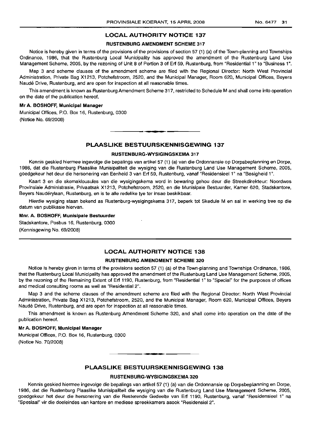#### RUSTENBLIRG AMENDMENT SCHEME 317

Notice is hereby given in terms of the provisions of the provisions of section 57 (1) (a) of the Town-planning and Townships Ordinance, 1986, that the Rustenburg Local Municipality has approved the amendment of the Rustenburg Land Use Management Scheme, 2005, by the rezoning of Unit 8 of Portion 3 of Erf 59, Rustenburg, from "Residential 1" to "Business 1".

Map 3 and scheme clauses of the amendment scheme are filed with the Regional Director: North West Provincial Administration, Private Bag X1213, Potchefstroom, 2520, and the Municipal Manager, Room 620, Municipal Offices, Beyers Naudé Drive, Rustenburg, and are open for inspection at all reasonable times.

This amendment is known as Rustenburg Amendment Scheme 317, restricted to Schedule M and shall come into operation on the date of the publication hereof.

#### Mr A. BOSHOFF, Municipal Manager

Municipal Offices, P.O. Box 16, Rustenburg, 0300 (Notice No. 69/2008)

#### PLAASLIKE BESTUURSKENNISGEWING 137

**•**

#### RUSTENBURG-WYSIGINGSKEMA 317

Kennis geskied hiermee ingevolge die bepalings van artikel 57 (1) (a) van die Ordonnansie op Dorpsbeplanning en Dorpe, 1986, dat die Rustenburg Plaaslike Munisipaliteit die wysiging van die Rustenburg Land Use Management Scheme, 2005, goedgekeur het deur die hersonering van Eenheid 3 van Erf 59, Rustenburg, vanaf "Residensieel 1" na "Besigheid 1".

Kaart 3 en die skemaklousules van die wysigingskema word in bewaring gehou deur die Streekdirekteur: Noordwes Provinsiale Administrasie, Privaatsak X1213, Potchefstroom, 2520, en die Munisipale Bestuurder, Kamer 620, Stadskantore, Beyers Nauderylaan, Rustenburg, en is te aile redelike tye ter insae beskikbaar.

Hierdie wysiging staan bekend as Rustenburg-wysigingskema 317, beperk tot Skedule M en sal in werking tree op die datum van publikasie hiervan.

#### Mm. A. BOSHOFF, Munisipale Bestuurder

Stadskantore, Posbus 16, Rustenburg, 0300 (Kennisgewing No. 69/2008)

## LOCAL AUTHORITY NOTICE 138

#### RUSTENBURG AMENDMENT SCHEME 320

Notice is hereby given in terms of the provisions section 57 (1) (a) of the Town-planning and Townships Ordinance, 1986, that the Rustenburg Local Municipality has approved the amendment of the Rustenburg Land Use Management Scheme, 2005, by the rezoning of the Remaining Extent of Erf 1190, Rustenburg, from "Residential 1" to "Special" for the purposes of offices and medical consulting rooms as well as "Residential 2".

Map 3 and the scheme clauses of the amendment scheme are filed with the Regional Director: North West Provincial Administration, Private Bag X1213, Potchefstroom, 2520, and the Municipal Manager, Room 620, Municipal Offices, Beyers Naudé Drive, Rustenburg, and are open for inspection at all reasonable times.

This amendment is known as Rustenburg Amendment Scheme 320, and shall come into operation on the date of the publication hereof.

#### Mr A. BOSHOFF, Municipal Manager

Municipal Offices, P.O. Box 16, Rustenburg, 0300 (Notice No. 70/2008)

#### PLAASLIKE BESTULIRSKENNISGEWING 138

**•**

#### RUSTENBURG-WYSIGINGSKEMA 320

Kennis geskied hiermee ingevolge die bepalings van artikel 57 (1) (a) van die Ordonnansie op Dorpsbeplanning en Dorpe, 1986, dat die Rustenburg Plaaslike Munisipaliteit die wysiging van die Rustenburg Land Use Management Scheme, 2005, goedgekeur het deur die hersonering van die Resterende Gedeelte van Erf 1190, Rustenburg, vanaf "Residensieel 1" na "Spesiaal" vir die doeleindes van kantore en mediese spreekkamers asook "ResidensieI2".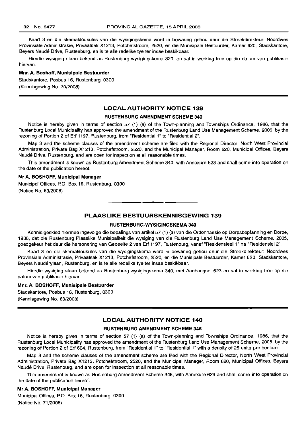Kaart 3 en die skemaklousules van die wysigingskema word in bewaring gehou deur die Streekdirekteur: Noordwes Provinsiale Administrasie, Privaatsak X1213, Potchefstroom, 2520, en die Munisipale Bestuurder, Kamer 620, Stadskantore, Beyers Naude Drive, Rustenburg, en is te aile redelike tye ter insae beskikbaar.

Hierdie wysiging staan bekend as Rustenburg-wysigingskema 320, en sal in werking tree op die datum van publikasie hiervan.

#### Mnr. A. Boshoff, Munisipale Bestuurder

Stadskantore, Posbus 16, Rustenburg, 0300 (Kennisgewing No. 70/2008)

#### LOCAL AUTHORITY NOTICE 139

#### RUSTENBURG AMENDMENT SCHEME 340

Notice is hereby given in terms of section 57 (1) (a) of the Town-planning and Townships Ordinance, 1986, that the Rustenburg Local Municipality has approved the amendment of the Rustenburg Land Use Management Scheme, 2005, by the rezoning of Portion 2 of Erf 1197, Rustenburg, from "Residential 1" to "Residential 2".

Map 3 and the scheme clauses of the amendment scheme are filed with the Regional Director: North West Provincial Administration, Private Bag X1213, Potchefstroom, 2520, and the Municipal Manager, Room 620, Municipal Offices, Beyers Naudé Drive, Rustenburg, and are open for inspection at all reasonable times.

This amendment is known as Rustenburg Amendment Scheme 340, with Annexure 623 and shall come into operation on the date of the publication hereof.

#### Mr A. BOSHOFF, Municipal Manager

Municipal Offices, P.O. Box 16, Rustenburg, 0300 (Notice No. 63/2008)

## PLAASLIKE BESTUURSKENNISGEWING 139

.**- .**

#### RUSTENBURG-WYSIGINGSKEMA 340

Kennis geskied hiermee ingevolge die bepalings van artikel 57 (1) (a) van die Ordonnansie op Dorpsbeplanning en Dorpe, 1986, dat die Rustenburg Plaaslike Munisipaliteit die wysiging van die Rustenburg Land Use Management Scheme, 2005, goedgekeur het deur die hersonering van Gedeelte 2 van Erf 1197, Rustenburg, vanaf "Residensieel 1" na "Residensiel 2".

Kaart 3 en die skemaklousules van die wysigingskema word in bewaring gehou deur die Streekdirekteur: Noordwes Provinsiale Administrasie, Privaatsak X1213, Potchefstroom, 2520, en die Munisipale Bestuurder, Kamer 620, Stadskantore, Beyers Nauderylaan, Rustenburg, en is te aile redelike tye ter insae beskikbaar.

Hierdie wysiging staan bekend as Rustenburg-wysigingskema 340, met Aanhangsel 623 en sal in werking tree op die datum van publikasie hiervan.

### Mnr. A. BOSHOFF, Munisipale Bestuurder

Stadskantore, Posbus 16, Rustenburg, 0300 (Kennisgewing No. 63/2008)

#### LOCAL AUTHORITY NOTICE 140

#### RUSTENBURG AMENDMENT SCHEME 346

Notice is hereby given in terms of section 57 (1) (a) of the Town-planning and Townships Ordinance, 1986, that the Rustenburg Local Municipality has approved the amendment of the Rustenburg Land Use Management Scheme, 2005, by the rezoning of Portion 2 of Erf 664, Rustenburg, from "Residential 1" to "Residential 1" with a density of 25 units per hectare.

Map 3 and the scheme clauses of the amendment scheme are filed with the Regional Director, North West Provincial Administration, Private Bag X1213, Potchefstroom, 2520, and the Municipal Manager, Room 620, Municipal Offices, Beyers Naudé Drive, Rustenburg, and are open for inspection at all reasonable times.

This amendment is known as Rustenburg Amendment Scheme 346, with Annexure 629 and shall come into operation on the date of the publication hereof.

#### Mr A. BOSHOFF, Municipal Manager

Municipal Offices, P.O. Box 16, Rustenburg, 0300 (Notice No. 71/2008)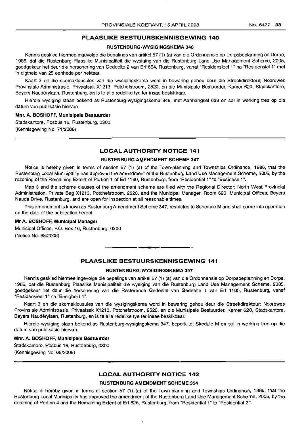## PLAASLIKE BESTUURSKENNISGEWING 140

#### RUSTENBURG-WYSIGINGSKEMA 346

Kennis geskied hiermee ingevolge die bepalings van artikel 57 (1) (a) van die Ordonnansie op Dorpsbeplanning en Dorpe, 1986, dat die Rustenburg Plaaslike Munisipaliteit die wysiging van die Rustenburg Land Use Management Scheme, 2005, goedgekeur het deur die hersonering van Gedeelte 2 van Erf 664, Rustenburg, vanaf "Residensieel 1" na "Residensiel 1" met 'n digtheid van 25 eenhede per hektaar.

Kaart 3 en die skemaklousules van die wysigingskema word in bewaring gehou deur die Streekdirekteur, Noordwes Provinsiale Administrasie, Privaatsak X1213, Potchefstroom, 2520, en die Munisipale Bestuurder, Kamer 620, Stadskantore, Beyers Nauderylaan, Rustenburg, en is te aile redelike tye ter insae beskikbaar.

Hierdie wysiging staan bekend as Rustenburg-wysigingskema 346, met Aanhangsel 629 en sal in werking tree op die datum van publikasie hiervan.

#### Mnr. A. BOSHOFF, Munisipale Bestuurder

Stadskantore, Posbus 16, Rustenburg, 0300 (Kennisgewing No. 71/2008)

## LOCAL AUTHORITY NOTICE 141

#### RUSTENBURG AMENDMENT SCHEME 347

Notice is hereby given in terms of section 57 (1) (a) of the Town-planning and Townships Ordinance, 1986, that the Rustenburg Local Municipality has approved the amendment of the Rustenburg Land Use Management Scheme, 2005, by the rezoning of the Remaining Extent of Portion 1 of Erf 1160, Rustenburg, from "Residential 1" to "Business 1".

Map 3 and the scheme clauses of the amendment scheme are filed with the Regional Director: North West Provincial Administration, Private Bag X1213, Potchefstroom, 2520, and the Municipal Manager, Room 620, Municipal Offices, Beyers Naude Drive, Rustenburg, and are open for inspection at all reasonable times.

This amendment is known as Rustenburg Amendment Scheme 347, restricted to Schedule M and shall come into operation on the date of the publication hereof.

#### Mr A. BOSHOFF, Municipal Manager

Municipal Offices, P.O. Box 16, Rustenburg, 0300 (Notice No. 68/2008)

#### PLAASLIKE BESTUURSKENNISGEWING 141

.**-.**

#### RUSTENBURG-WYSIGINGSKEMA 347

Kennis geskied hiermee ingevolge die bepalings van artikel 57 (1) (a) van die Ordonnansie op Dorpsbeplanning en Dorpe, 1986, dat die Rustenburg Plaaslike Munisipaliteit die wysiging van die Rustenburg Land Use Management Scheme, 2005, goedgekeur het deur die hersonering van die Resterende Gedeelte van Gedeelte 1 van Erf 1160, Rustenburg, vanaf "Residensieel 1" na "Besigheid 1".

Kaart 3 en die skemaklousules van die wysigingskema word in bewaring gehou deur die Streekdirekteur: Noordwes Provinsiale Administrasie, Privaatsak X1213, Potchefstroom, 2520, en die Munisipale Bestuurder, Kamer 620, Stadskantore, Beyers Nauderylaan, Rustenburg, en is te aile redelike tye ter insae beskikbaar.

Hierdie wysiging staan bekend as Rustenburg-wysigingskema 347, beperk tot Skedule M en sal in werking tree op die datum van publikasie hiervan.

#### Mnr. A. BOSHOFF, Munisipale Bestuurder

Stadskantore, Posbus 16, Rustenburg, 0300 (Kennisgewing No. 68/2008)

## LOCAL AUTHORITY NOTICE 142

#### RUSTENBURG AMENDMENT SCHEME 354

Notice is hereby given in terms of section 57 (1) (a) of the Town-planning and Townships Ordinance, 1986, that the Rustenburg Local Municipality has approved the amendment of the Rustenburg Land Use Management Scheme, 2005, by the rezoning of Portion 4 and the Remaining Extent of Erf 826, Rustenburg, from "Residential 1" to "Residential 2".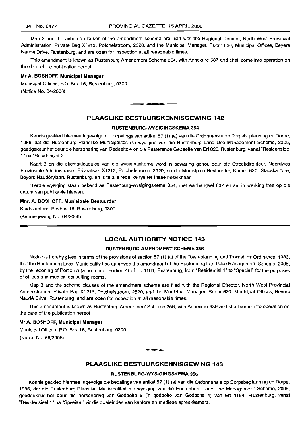Map 3 and the scheme clauses of the amendment scheme are filed with the Regional Director, North West Provincial Administration, Private Bag X1213, Potchefstroom, 2520, and the Municipal Manager, Room 620, Municipal Offices, Beyers Naudé Drive, Rustenburg, and are open for inspection at all reasonable times.

This amendment is known as Rustenburg Amendment Scheme 354, with Annexure 637 and shall come into operation on the date of the publication hereof.

#### Mr A. BOSHOFF, Municipal Manager

Municipal Offices, P.O. Box 16, Rustenburg, 0300 (Notice No. 64/2008)

#### PLAASLIKE BESTUURSKENNISGEWING 142

**.-**

#### RUSTENBURG-WVSIGINGSKEMA 354

Kennis geskied hiermee ingevolge die bepalings van artikel 57 (1) (a) van die Ordonnansie op Dorpsbeplanning en Dorpe, 1986, dat die Rustenburg Plaaslike Munisipaliteit die wysiging van die Rustenburg Land Use Management Scheme, 2005, goedgekeur het deur die hersonering van Gedeelte 4 en die Resterende Gedeelte van Erf 826, Rustenburg, vanaf "Residensieel 1" na "Residensiel 2".

Kaart 3 en die skemaklousules van die wysigingskema word in bewaring gehou deur die Streekdirekteur, Noordwes Provinsiale Administrasie, Privaatsak X1213, Potchefstroom, 2520, en die Munisipale Bestuurder, Kamer 620, Stadskantore, Beyers Nauderylaan, Rustenburg, en is te aile redelike tye ter insae beskikbaar.

Hierdie wysiging staan bekend as Rustenburg-wysigingskema 354, met Aanhangsel 637 en sal in werking tree op die datum van publikasie hiervan.

#### Mnr. A. BOSHOFF, Munisipale Bestuurder

Stadskantore, Posbus 16, Rustenburg, 0300 (Kennisgewing No. 64/2008)

## LOCAL AUTHORITY NOTICE 143

#### RUSTENBURG AMENDMENT SCHEME 356

Notice is hereby given in terms of the provisions of section 57 (1) (a) of the Town-planning and Townships Ordinance, 1986, that the Rustenburg Local Municipality has approved the amendment of the Rustenburg Land Use Management Scheme, 2005, by the rezoning of Portion 5 (a portion of Portion 4) of Erf 1164, Rustenburg, from "Residential 1" to "Special" for the purposes of offices and medical consulting rooms.

Map 3 and the scheme clauses of the amendment scheme are filed with the Regional Director, North West Provincial Administration, Private Bag X1213, Potchefstroom, 2520, and the Municipal Manager, Room 620, Municipal Offices, Beyers Naude Drive, Rustenburg, and are open for inspection at all reasonable times.

This amendment is known as Rustenburg Amendment Scheme 356, with Annexure 639 and shall come into operation on the date of the publication hereof.

#### Mr A. BOSHOFF, Municipal Manager

Municipal Offices, P.O. Box 16, Rustenburg, 0300 (Notice No. 66/2008)

## PLAASLIKE BESTUURSKENNISGEWING 143

.**-.**

#### RUSTENBLlRG-WVSIGINGSKEMA 356

Kennis geskied hiermee ingevolge die bepalings van artikel 57 (1) (a) van die Ordonnansie op Dorpsbeplanning en Dorpe, 1986, dat die Rustenburg Plaaslike Munisipaliteit die wysiging van die Rustenburg Land Use Management Scheme, 2005, goedgekeur het deur die hersonering van Gedeelte 5 ('n gedeelte van Gedeelte 4) van Erf 1164, Rustenburg, vanaf "Residensieel 1" na "Spesiaal" vir die doeleindes van kantore en mediese spreekkamers.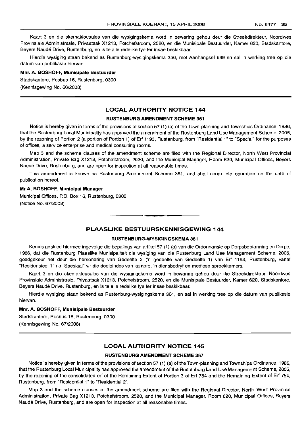Kaart 3 en die skemaklousules van die wysigingskema word in bewaring gehou deur die Streekdirekteur, Noordwes Provinsiale Administrasie, Privaatsak X1213, Potchefstroom, 2520, en die Munisipale Bestuurder, Kamer 620, Stadskantore, Beyers Naude Drive, Rustenburg, en is te aile redelike tye ter insae beskikbaar.

Hierdie wysiging staan bekend as Rustenburg-wysigingskema 356, met Aanhangsel 639 en sal in werking tree op die datum van publikasie hiervan.

#### Mnr. A. BOSHOFF, Munisipale Bestuurder

Stadskantore, Posbus 16, Rustenburg, 0300 (Kennisgewing No. 66/2008)

## LOCAL AUTHORITY NOTICE 144

#### RUSTENBURG AMENDMENT SCHEME 361

Notice is hereby given in terms of the provisions of section 57 (1) (a) of the Town-planning and Townships Ordinance, 1986, that the Rustenburg Local Municipality has approved the amendment of the Rustenburg Land Use Management Scheme, 2005, by the rezoning of Portion 2 (a portion of Portion 1) of Ert 1193, Rustenburg, from "Residential 1" to "Special" for the purposes of offices, a service enterprise and medical consulting rooms.

Map 3 and the scheme clauses of the amendment scheme are filed with the Regional Director, North West Provincial Administration, Private Bag X1213, Potchefstroom, 2520, and the Municipal Manager, Room 620, Municipal Offices, Beyers Naude Drive, Rustenburg, and are open for inspection at all reasonable times.

This amendment is known as Rustenburg Amendment Scheme 361, and shall come into operation on the date of publication hereof.

#### Mr A. BOSHOFF, Municipal Manager

Municipal Offices, P.O. Box 16, Rustenburg, 0300 (Notice No. 67/2008)

## PLAASLIKE BESTUURSKENNISGEWING 144

I **• I**

#### RUSTENBURG-WYSIGINGSKEMA 361

Kennis geskied hiermee ingevolge die bepalings van artikel 57 (1) (a) van die Ordonnansie op Dorpsbeplanning en Dorpe, 1986, dat die Rustenburg Plaaslike Munisipaliteit die wysiging van die Rustenburg Land Use Management Scheme, 2005, goedgekeur het deur die hersonering van Gedeelte 2 ('n gedeelte van Gedeelte 1) van Erf 1193, Rustenburg, vanaf "Residensieel 1" na "Spesiaal" vir die doeleindes van kantore, 'n diensbedryf en mediese spreekkamers.

Kaart 3 en die skemaklousules van die wysigingskema word in bewaring gehou deur die Streekdirekteur, Noordwes Provinsiale Administrasie, Privaatsak X1213, Potchefstroom, 2520, en die Munisipale Bestuurder, Kamer 620, Stadskantore, Beyers Naude Drive, Rustenburg, en is te aile redelike tye ter insae beskikbaar.

Hierdie wysiging staan bekend as Rustenburg-wysigingskema 361, en sal in werking tree op die datum van publikasie hiervan.

#### Mnr. A. BOSHOFF, Munisipale Bestuurder

Stadskantore, Posbus 16, Rustenburg, 0300 (Kennisgewing No. 67/2008)

## LOCAL AUTHORITY NOTICE 145

#### RUSTENBURG AMENDMENT SCHEME 367

Notice is hereby given in terms of the provisions of section 57 (1) (a) of the Town-planning and Townships Ordinance, 1986, that the Rustenburg Local Municipality has approved the amendment of the Rustenburg Land Use Management Scheme, 2005, by the rezoning of the consolidated ert of the Remaining Extent of Portion 3 of Ert 754 and the Remaining Extent of Ert 754, Rustenburg, from "Residential 1" to "Residential 2".

Map 3 and the scheme clauses of the amendment scheme are filed with the Regional Director, North West Provincial Administration, Private Bag X1213, Potchefstroom, 2520, and the Municipal Manager, Room 620, Municipal Offices, Beyers Naudé Drive, Rustenburg, and are open for inspection at all reasonable times.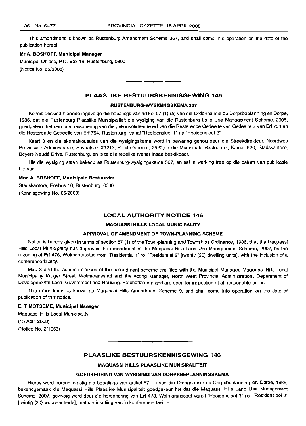This amendment is known as Rustenburg Amendment Scheme 367, and shall come into operation on the date of the publication hereof.

#### Mr A. BOSHOFF, Municipal Manager

Municipal Offices, P.O. Box 16, Rustenburg, 0300 (Notice No. 65/2008)

### PLAASLIKE BESTUURSKENNISGEWING 145

**• •**

#### RUSTENBURG-WYSIGINGSKEMA 367

Kennis geskied hiermee ingevolge die bepalings van artikel 57 (1) (a) van die Ordonnansie op Dorpsbeplanning en Dorpe, 1986, dat die Rustenburg Plaaslike Munisipaliteit die wysiging van die Rustenburg Land Use Management Scheme, 2005, goedgekeur het deur die hersonering van die gekonsolideerde erf van die Resterende Gedeelte van Gedeelte 3 van Erf 754 en die Resterende Gedeelte van Erf 754, Rustenburg, vanaf "Residensieel 1" na "Residensieel 2".

Kaart 3 en die skemaklousules van die wysigingskema word in bewaring gehou deur die Streekdirekteur, Noordwes Provinsiale Administrasie, Privaatsak X1213, Potchefstroom, 2520,en die Munisipale Bestuurder, Kamer 620, Stadskantore, Beyers Naude Drive, Rustenburg, en is te aile redelike tye ter insae beskikbaar.

Hierdie wysiging staan bekend as Rustenburg-wysigingskema 367, en sal in werking tree op die datum van publikasie hiervan.

#### Mm. A. BOSHOFF, Munisipale Bestuurder

Stadskantore, Posbus 16, Rustenburg, 0300 (Kennisgewing No. 65/2008)

#### LOCAL AUTHORITY NOTICE 146

#### MAQUASSI HILLS LOCAL MUNICIPALITY

#### APPROVAL OF AMENDMENT OF TOWN-PLANNING SCHEME

Notice is hereby given in terms of section 57 (1) of the Town-planning and Townships Ordinance, 1986, that the Maquassi Hills Local Municipality has approved the amendment of the Maquassi Hills Land Use Management Scheme, 2007, by the rezoning of Erf 478, Wolmaransstad from "Residential 1" to "'Residential 2" [twenty (20) dwelling units], with the inclusion of a conference facility.

Map 3 and the scheme clauses of the amendment scheme are filed with the Municipal Manager, Maquassi Hills Local Municipality Kruger Street, Wolmaransstad and the Acting Manager, North West Provincial Administration, Department of Developmental Local Government and Housing, Potchefstroom and are open for inspection at all reasonable times.

This amendment is known as Maquassi Hills Amendment Scheme 9, and shall come into operation on the date of publication of this notice.

#### E. T MOTSEME, Municipal Manager

Maquassi Hills Local Municipality (15 April 2008) (Notice No. 2/1066)

## PLAASLIKE BESTUURSKENNISGEWING 146

.**- .**

#### MAQUASSI HILLS PLAASLIKE MUNISIPALITEIT

#### GOEDKEURING VAN WYSIGING VAN DORPSBEPLANNINGSKEMA

Hierby word ooreenkomstig die bepalings van artikel 57 (1) van die Ordonnansie op Dorpsbeplanning en Dorpe, 1986, bekendgemaak die Maquassi Hills Plaaslike Munisipaliteit goedgekeur het dat die Maquassi Hills Land Use Management Scheme, 2007, gewysig word deur die hersonering van Erf 478, Wolmaransstad vanaf "Residensieel 1" na "ResidensieeI2" [twintig (20) wooneenhede], met die insutiing van 'n konferensie fasiliteit.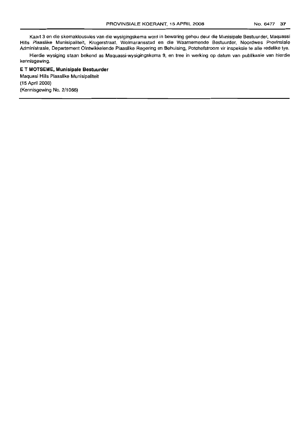Kaart 3 en die skemaklousules van die wysigingskema word in bewaring gehou deur die Munisipale Bestuurder, Maquassi Hills Plaaslike Munisipaliteit, Krugerstraat, Wolmaransstad en die Waarnemende Bestuurder, Noordwes Provinsiale Administrasie, Departement Olntwikkelende Plaaslike Regering en Behuising, Potchefstroom vir inspeksie te aile redelike tye.

Hierdie wysiging staan bekend as Maquassi-wysigingskema 9, en tree in werking op datum van publikasie van hierdie kennisgewing.

## E **T MOTSEME, Munisipale Bestuurder** Maquasi Hills Plaaslike Munisipaliteit (15 April 2008) (Kennisgewing No. 2/1066)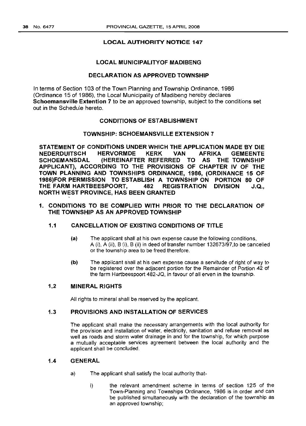## LOCAL MUNICIPALITYOF MADIBENG

## DECLARATION AS APPROVED TOWNSHIP

In terms of Section 103 of the Town Planning and Township Ordinance, 1986 (Ordinance 15 of 1986), the Local Municipality of Madibeng hereby declares Schoemansville Extention 7 to be an approved township, subject to the conditions set out in the Schedule hereto.

## CONDITIONS OF ESTABLISHMENT

## TOWNSHIP: SCHOEMANSVILLE EXTENSION 7

STATEMENT OF CONDITIONS UNDER WHICH THE APPLICATION MADE BY DIE NEDERDUITSCH HERVORMDE KERK VAN AFRIKA GEMEENTE SCHOEMANSDAL (HEREINAFTER REFERRED TO AS THE TOWNSHIP APPLICANT), ACCORDING TO THE PROVISIONS OF CHAPTER IV OF THE TOWN PLANNING AND TOWNSHIPS ORDINANCE, 1986, (ORDINANCE 15 OF 1986)FOR PERMISSION TO ESTABLISH A TOWNSHIP ON PORTION 80 OF THE FARM HARTBEESPOORT, 482 REGISTRATION DIVISION J.Q., NORTH WEST PROVINCE, HAS BEEN GRANTED

1. CONDITIONS TO BE COMPLIED WITH PRIOR TO THE DECLARATION OF THE TOWNSHIP AS AN APPROVED TOWNSHIP

## 1.1 CANCELLATION OF EXISTING CONDITIONS OF TITLE

- (a) The applicant shall at his own expense cause the following conditions, A (i), A (ii), B (i), B (ii) in deed of transfer number 132673/97,to be cancelled or the township area to be freed therefore.
- (b) The applicant shall at his own expense cause a servitude of right of way to be registered over the adjacent portion for the Remainder of Portion 42 of the farm Hartbeespoort 482-JQ, in favour of all erven in the township.

## 1.2 MINERAL RIGHTS

All rights to mineral shall be reserved by the applicant.

## 1.3 PROVISIONS AND INSTALLATION OF SERVICES

The applicant shall make the necessary arrangements with the local authority for the provision and installation of water, electricity, sanitation and refuse removal as well as roads and storm water drainage in and for the township, for which purpose a mutually acceptable services agreement between the local authority and the applicant shall be concluded.

## 1.4 GENERAL

- a) The applicant shall satisfy the local authority that
	- i) the relevant amendment scheme in terms of section 125 of the Town-Planning and Townships Ordinance, 1986 is in order and can be published simultaneously with the declaration of the township as an approved township;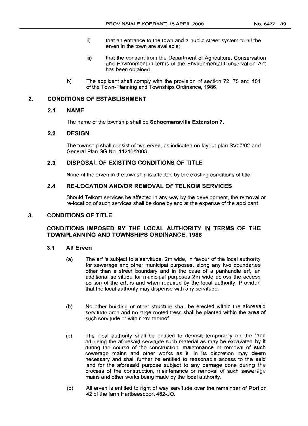- ii) that an entrance to the town and a public street system to all the erven in the town are available;
- iii) that the consent from the Department of Agriculture, Conservation and Environment in terms of the Environmental Conservation Act has been obtained.
- b) The applicant shall comply with the provision of section 72, 75 and 101 of the Town-Planning and Townships Ordinance, 1986.

## **2. CONDITIONS OF ESTABLISHMENT**

## **2.1 NAME**

The name of the township shall be **Schoemansville Extension 7.**

## **2.2 DESIGN**

The township shall consist of two erven, as indicated on layout plan *SV07/02* and General Plan SG No. 11216/2003.

## **2.3 DISPOSAL OF EX.ISTING CONDITIONS OF TITLE**

None of the erven in the township is affected by the existinq conditions of title.

## **2.4 RE-LOCATION AND/OR REMOVAL OF TELKOIVI SERVICES**

Should Telkom services be affected in any way by the development, the removal or re-Iocation of such services shall be done by and at the expense of the applicant.

## **3. CONDITIONS OF TITLE**

## **CONDITIONS IMPOSED BY THE LOCAL AUTHORITY IN TERMS OF THE TOWNPLANNING AND TOWNSHIPS ORDINANCE, 1986**

## **3.1 All Erven**

- (a) The erf is subject to a servitude, 2m wide, in favour of the local authority for sewerage and other municipal purposes, along any two boundaries other than a street boundary and in the case of a panhandle erf, an additional servitude for municipal purposes 2m wide across the access portion of the erf, is and when required by the local authority: Provided that the local authority may dispense with any servitude.
- (b) No other building or other structure shall be erected within the aforesaid servitude area and no large-rooted tress shall be planted within the area of such servitude or within 2m thereof.
- (c) The local authority shall be entitled to deposit temporarily on the land adjoining the aforesaid servitude such material as may be excavated by it during the course of the construction, maintenance or removal of such sewerage mains and other works as it, in its discretion may deem necessary and shall further be entitled to reasonable access to the said land for the aforesaid purpose subject to any damage done during the process of the construction, maintenance or removal of such sewerage mains and other works being made by the local authority.
- (d) All erven is entitled to right of way servitude over the remainder of Portion 42 of the farm Hartbeespoort 482-JQ.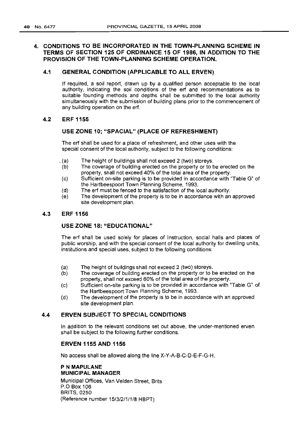## **4. CONDITIONS TO BE INCORPORATED IN THE TOWN-PLANNING SCHEME IN TERMS OF SECTION 125 OF ORDINANCE 15 OF 1986, IN ADDITION TO THE PROVISION OF THE TOWN-PLANNING SCHEME OPERATION.**

## **4.1 GENERAL CONDITION (APPLICABLE TO ALL ERVEN)**

If required, a soil report, drawn up by a qualified person acceptable to the local authority, indicating the soil conditions of the ert and recommendations as to suitable founding methods and depths shall be submitted to the local authority simultaneously with the submission of building plans prior to the commencement of any building operation on the ert.

## **4.2 ERF 1155**

## **USE ZONE 10; "SPACIAL" (PLACE OF REFRESHMENT)**

The ert shall be used for a place of refreshment, and other uses with the special consent of the local authority, subject to the following conditions:

- \_(a) The height of buildings shall not exceed 2 (two) storeys.
- (b) The coverage of building erected on the property or to be erected on the property, shall not exceed 40% of the total area of the property.
- (c) Sufficient on-site parking is to be provided in accordance with "Table G" of the Hartbeespoort Town Planning Scheme, 1993.
- (d) The erf must be fenced to the satisfaction of the local authority.
- (e) The development of the property is to be in accordance with an approved site development plan.

### **4.3 ERF 1156**

## **USE ZONE 18: "EDUCATIONAL"**

The erf shall be used solely for places of Instruction, social halls and places of public worship, and with the special consent of the local authority for dwelling units, institutions and special uses, subject to the following conditions:

- (a) The height of buildings shall not exceed 2 (two) storeys.<br>(b) The coverage of building erected on the property or to b
- The coverage of building erected on the property or to be erected on the property, shall not exceed 60% of the total area of the property.
- (c) Sufficient on-site parking is to be provided in accordance with "Table G" of the Hartbeespoort Town Planning Scheme, 1993.
- (d) The development of the property is to be in accordance with an approved site development plan.

## **4.4 ERVEN SUBJECT TO SPECIAL CONDITIONS**

In addition to the relevant conditions set out above, the under-mentioned erven shall be SUbject to the following further conditions.

## **ERVEN 1155 AND 1156**

No access shall be allowed along the line X-Y-A-B-C-D-E-F-G-H.

#### P **N MAPULANE MUNICIPAL MANAGER**

Municipal Offices, Van Velden Street, Brits P.O Box 106 BRITS, 0250 (Reference number 15/3/2/1/1/8 HBPT)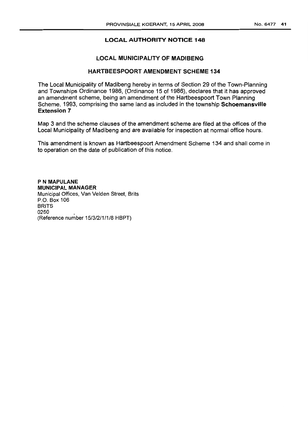## **LOCAL MUNICIPALITY OF MADIBENG**

## HARTBEEsPOORT AMENDMENT SCHEME 134

The Local Municipality of Madibeng hereby in terms of Section 29 of the Town-Planning and Townships Ordinance 1986, (Ordinance 15 of 1986), declares that it has approved an amendment scheme, being an amendment of the Hartbeespoort Town Planning Scheme, 1993, comprising the same land as included in the township **schoemansville Extension 7**

Map 3 and the scheme clauses of the amendment scheme are filed at the offices of the Local Municipality of Madibeng and are available for inspection at normal office hours.

This amendment is known as Hartbeespoort Amendment Scheme 134 and shall come in to operation on the date of publication of this notice.

P **N MAPLILANE MUNICIPAL MANAGER** Municipal Offices, Van Velden Street, Brits P.O. Box 106 BRITS 0250 \_ (Reference number 15/3/2/1/1/8 HBPT)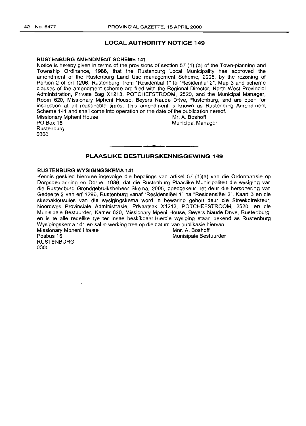#### **RUSTENBURG AMENDMENT SCHEME 141**

Notice is hereby given in terms of the provisions of section 57 (1) (a) of the Town-planning and Township Ordinance, 1986, that the Rustenburg Local Municipality has approved the amendment of the Rustenburg Land Use management Scheme, 2005, by the rezoning of Portion 2 of erf 1296, Rustenburg, from "Residential 1" to "Residential 2". Map 3 and scheme clauses of the amendment scheme are filed with the Regional Director, North West Provincial Administration, Private Bag X1213, POTCHEFSTROOM, 2520, and the Municipal Manager, Room 620, Missionary Mpheni House, Beyers Naude Drive, Rustenburg, and are open for inspection at all reasonable times. This amendment is known as Rustenburg Amendment Scheme 141 and shall come into operation on the date of the publication hereof.<br>Missionary Moheni House **Missionary Moheni** Missionary Mpheni House<br>PO Box 16

**Rustenburg** 0300

**Municipal Manager** 

## **PLAASLIKE BESTUURSKENNISGEWING 149**

**I. I**

#### **RUSTENBURG WYSIGINGSKEMA 141**

Kennis geskied hiermee ingevolge die bepalings van artikel 57 (1)(a) van die Ordonnansie op Dorpsbeplanning en Dorpe, 1986, dat die Rustenburg Plaaslike Munisipaliteit die wysiging van die Rustenburg Grondgebruiksbeheer Skema, 2005, goedgekeur het deur die hersonering van Gedeelte 2 van erf 1296, Rustenburg vanaf "Residensieel 1" na "Resldensisel 2". Kaart 3 en die skemaklousules van die wysigingskema word in bewaring gehou deur die Streekdirekteur, Noordwes Provinsiale Administrasie, Privaatsak X1213, POTCHEFSTROOM, 2520, en die Munisipale Bestuurder, Kamer 620, Missionary Mpeni House, Beyers Naude Drive, Rustenburg, en is te aile redelike tye ter insae beskikbaar.Hierdie wysiging staan bekend as Rustenburg Wysigingskema 141 en sal in werking tree op die datum van publikasie hiervan. Missionary Mpheni House Missionary Mpheni House Music Communistic Munisipale Best<br>Posbus 16

RUSTENBURG 0300

Munisipale Bestuurder